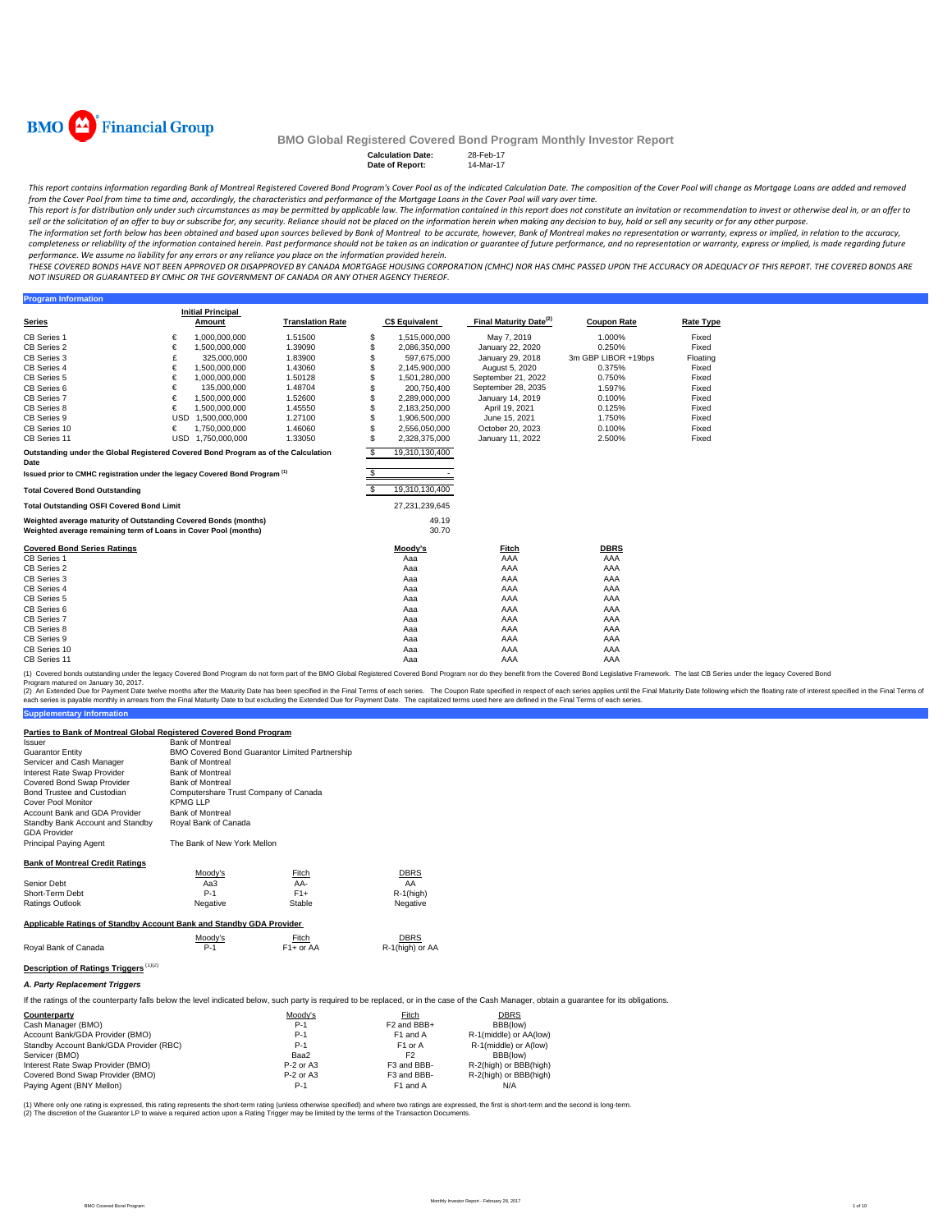

**Program Information** 

## **BMO Global Registered Covered Bond Program Monthly Investor Report**

| <b>Calculation Date:</b> | 28-Feb-17 |
|--------------------------|-----------|
| Date of Report:          | 14-Mar-17 |

| Date of Report: | 14-M |
|-----------------|------|
|                 |      |

This report contains information regarding Bank of Montreal Registered Covered Bond Program's Cover Pool as of the indicated Calculation Date. The composition of the Cover Pool will change as Mortgage Loans are added and r from the Cover Pool from time to time and, accordingly, the characteristics and performance of the Mortgage Loans in the Cover Pool will vary over time.

.<br>This report is for distribution only under such circumstances as may be permitted by applicable law. The information contained in this report does not constitute an invitation or recommendation to invest or otherwise dea sell or the solicitation of an offer to buy or subscribe for, any security. Reliance should not be placed on the information herein when making any decision to buy, hold or sell any security or for any other purpose.

The information set forth below has been obtained and based upon sources believed by Bank of Montreal to be accurate, however, Bank of Montreal makes no representation or warranty, express or implied, in relation to the ac completeness or reliability of the information contained herein. Past performance should not be taken as an indication or guarantee of future performance, and no representation or warranty, express or implied, is made rega performance. We assume no liability for any errors or any reliance you place on the information provided herein.

.<br>THESE COVERED BONDS HAVE NOT BEEN APPROVED OR DISAPPROVED BY CANADA MORTGAGE HOUSING CORPORATION (CMHC) NOR HAS CMHC PASSED UPON THE ACCURACY OR ADEQUACY OF THIS REPORT. THE COVERED BONDS ARE *NOT INSURED OR GUARANTEED BY CMHC OR THE GOVERNMENT OF CANADA OR ANY OTHER AGENCY THEREOF.*

**Series Initial Principal C\$ Equivalent Final Maturity Date<sup>(2)</sup> Coupon Rate <b>Rate Type** CB Series 1 € 1,000,000,000 1.51500 \$ 1,515,000,000 May 7, 2019 1.000% Fixed CB Series 2 € 1,500,000,000 1.39090 \$ 2,086,350,000 January 22, 2020 0.250% Fixed CB Series 3 £ 325,000,000 1.83900 \$ 597,675,000 January 29, 2018 3m GBP LIBOR +19bps Floating CB Series 4 € 1,500,000,000 1.43060 \$ 2,145,900,000 August 5, 2020 0.375% Fixed CB Series 4 € 1,500,000,000 1.43060 \$ 2,145,900,000 August 5, 2020 0.375% Fixed<br>CB Series 5 € 1,000,000,000 1.50128 \$ 1,501,280,000 September 21, 2022 0.750% Fixed CB Series 6 € 135,000,000 1.48704 \$ 200,750,400 September 28, 2035 1.597% Fixed CB Series 7 € 1,500,000,000 1.52600 \$ 2,289,000,000 January 14, 2019 0.100% Fixed CB Series 8 € 1,500,000,000 1.45550 \$ 2,183,250,000 April 19, 2021 0.125% Fixed CB Series 9 USD 1,500,000,000 1.27100 \$ 1,906,500,000 June 15, 2021 1.750% Fixed CB Series 10 € 1,750,000,000 1.46060 \$ 2,556,050,000 October 20, 2023 0.100% Fixed CB Series 11 USD 1,750,000,000 1.33050 \$ 2,328,375,000 January 11, 2022 2.500% Fixed \$ 19,310,130,400 \$ - **Total Covered Bond Outstanding** \$ 19,310,130,400 **Total Outstanding OSFI Covered Bond Limit** 27,231,239,645 49.19 30.70 **Covered Bond Series Ratings Moody's Fitch DBRS** CB Series 1 Aaa AAA AAA CB Series 2 Aaa AAA AAA CB Series 3 Aaa AAA AAA CB Series 4 Aaa AAA AAA CB Series 5 Aaa AAA AAA CB Series 6 Aaa AAA AAA CB Series 7 Aaa AAA AAA CB Series 8 Aaa AAA AAA CB Series 9 Aaa AAA AAA CB Series 10 Aaa AAA AAA CB Series 11 Aaa AAA AAA **Translation Rate Outstanding under the Global Registered Covered Bond Program as of the Calculation Date Issued prior to CMHC registration under the legacy Covered Bond Program (1) Weighted average maturity of Outstanding Covered Bonds (months) Weighted average remaining term of Loans in Cover Pool (months)**

(1) Covered bonds outstanding under the legacy Covered Bond Program do not form part of the BMO Global Registered Covered Bond Program nor do they benefit from the Covered Bond Legislative Framework. The last CB Series und

**Supplementary Information** (2) An Extended Due for Payment Date twelve months after the Maturity Date has been specified in the Final Erms of each series. The Capon Rate specified in the Final Maturity Date in the Final Maturity Date in the Sinal Te

| Issuer                                                              | <b>Bank of Montreal</b>               |                                                       |                 |  |  |  |
|---------------------------------------------------------------------|---------------------------------------|-------------------------------------------------------|-----------------|--|--|--|
| <b>Guarantor Entity</b>                                             |                                       | <b>BMO Covered Bond Guarantor Limited Partnership</b> |                 |  |  |  |
| Servicer and Cash Manager                                           | <b>Bank of Montreal</b>               |                                                       |                 |  |  |  |
| Interest Rate Swap Provider                                         | <b>Bank of Montreal</b>               |                                                       |                 |  |  |  |
| Covered Bond Swap Provider                                          | <b>Bank of Montreal</b>               |                                                       |                 |  |  |  |
| Bond Trustee and Custodian                                          | Computershare Trust Company of Canada |                                                       |                 |  |  |  |
| <b>Cover Pool Monitor</b>                                           | <b>KPMG LLP</b>                       |                                                       |                 |  |  |  |
| Account Bank and GDA Provider                                       | <b>Bank of Montreal</b>               |                                                       |                 |  |  |  |
| Standby Bank Account and Standby<br><b>GDA Provider</b>             | Royal Bank of Canada                  |                                                       |                 |  |  |  |
| <b>Principal Paying Agent</b>                                       | The Bank of New York Mellon           |                                                       |                 |  |  |  |
|                                                                     |                                       |                                                       |                 |  |  |  |
| <b>Bank of Montreal Credit Ratings</b>                              |                                       |                                                       |                 |  |  |  |
|                                                                     | Moody's                               | Fitch                                                 | DBRS            |  |  |  |
| Senior Debt                                                         | Aa $3$                                | AA-                                                   | AA              |  |  |  |
| Short-Term Debt                                                     | $P-1$                                 | $F1+$                                                 | $R-1$ (high)    |  |  |  |
| <b>Ratings Outlook</b>                                              | Negative                              | Stable                                                | Negative        |  |  |  |
|                                                                     |                                       |                                                       |                 |  |  |  |
| Applicable Ratings of Standby Account Bank and Standby GDA Provider |                                       |                                                       |                 |  |  |  |
|                                                                     | Moody's                               | Fitch                                                 | DBRS            |  |  |  |
| Royal Bank of Canada                                                | $P-1$                                 | $F1+$ or AA                                           | R-1(high) or AA |  |  |  |
|                                                                     |                                       |                                                       |                 |  |  |  |
| (1)(2)<br><b>Description of Ratings Triggers</b>                    |                                       |                                                       |                 |  |  |  |
|                                                                     |                                       |                                                       |                 |  |  |  |

**Parties to Bank of Montreal Global Registered Covered Bond Program**

#### *A. Party Replacement Triggers*

If the ratings of the counterparty falls below the level indicated below, such party is required to be replaced, or in the case of the Cash Manager, obtain a guarantee for its obligations.

| Counterparty                            | Moody's     | Fitch                   | <b>DBRS</b>            |
|-----------------------------------------|-------------|-------------------------|------------------------|
| Cash Manager (BMO)                      | $P-1$       | F <sub>2</sub> and BBB+ | BBB(low)               |
| Account Bank/GDA Provider (BMO)         | $P-1$       | F1 and A                | R-1(middle) or AA(low) |
| Standby Account Bank/GDA Provider (RBC) | $P-1$       | F <sub>1</sub> or A     | R-1(middle) or A(low)  |
| Servicer (BMO)                          | Baa2        | F <sub>2</sub>          | BBB(low)               |
| Interest Rate Swap Provider (BMO)       | $P-2$ or A3 | F3 and BBB-             | R-2(high) or BBB(high) |
| Covered Bond Swap Provider (BMO)        | $P-2$ or A3 | F3 and BBB-             | R-2(high) or BBB(high) |
| Paying Agent (BNY Mellon)               | $P-1$       | F1 and A                | N/A                    |

(1) Where only one rating is expressed, this rating represents the short-term rating (unless othevnise specified) and where two ratings are expressed, the first is short-term and the second is long-term.<br>(2) The discretion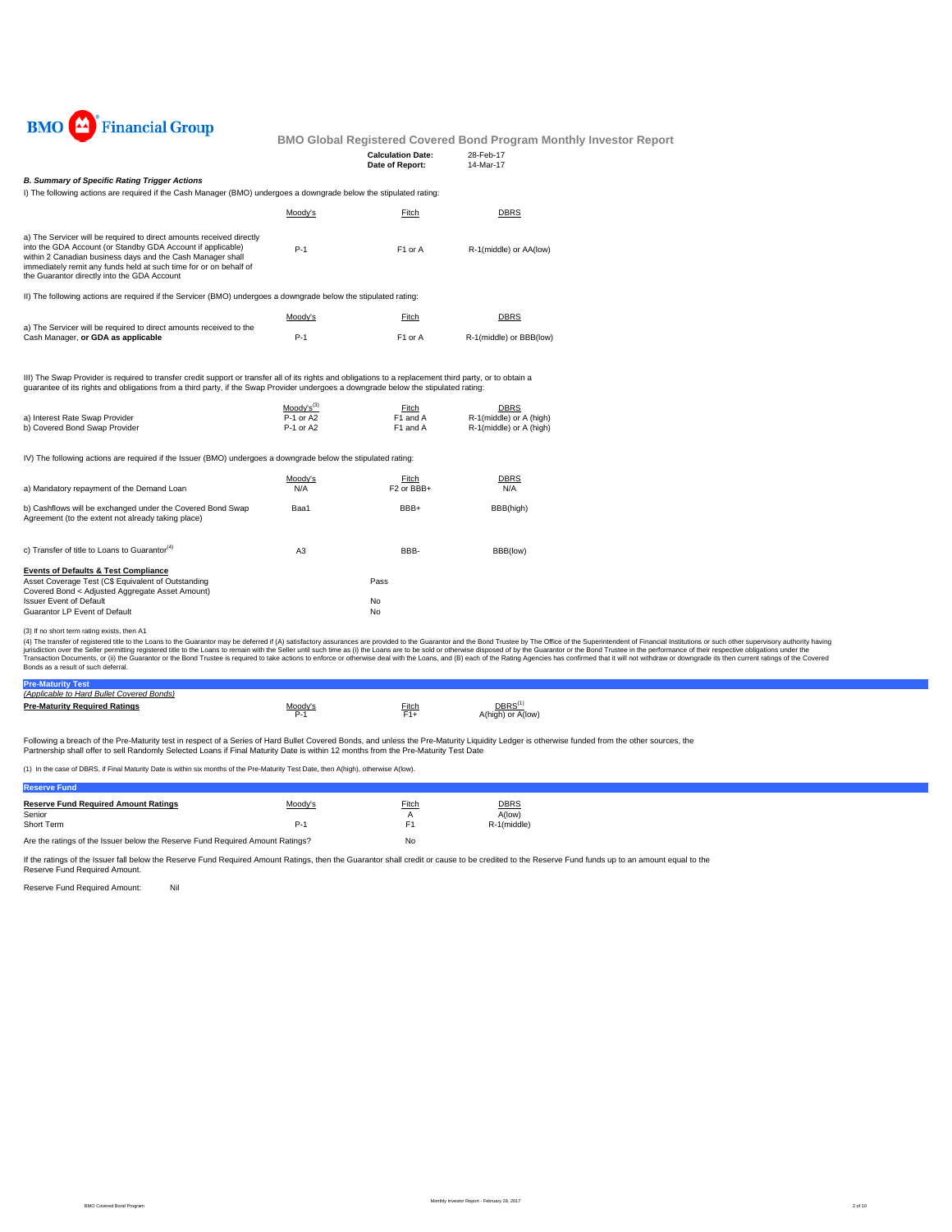

| <b>Calculation Date:</b> | 28-Feb-17 |
|--------------------------|-----------|
| Date of Report:          | 14-Mar-17 |
|                          |           |

## *B. Summary of Specific Rating Trigger Actions*

I) The following actions are required if the Cash Manager (BMO) undergoes a downgrade below the stipulated rating:

|                                                                                                                                                                                                                                                                                                                       | Moody's | Fitch               | DBRS                    |
|-----------------------------------------------------------------------------------------------------------------------------------------------------------------------------------------------------------------------------------------------------------------------------------------------------------------------|---------|---------------------|-------------------------|
| a) The Servicer will be required to direct amounts received directly<br>into the GDA Account (or Standby GDA Account if applicable)<br>within 2 Canadian business days and the Cash Manager shall<br>immediately remit any funds held at such time for or on behalf of<br>the Guarantor directly into the GDA Account | $P-1$   | F <sub>1</sub> or A | R-1(middle) or AA(low)  |
| II) The following actions are required if the Servicer (BMO) undergoes a downgrade below the stipulated rating:                                                                                                                                                                                                       |         |                     |                         |
|                                                                                                                                                                                                                                                                                                                       | Moody's | Fitch               | DBRS                    |
| a) The Servicer will be required to direct amounts received to the<br>Cash Manager, or GDA as applicable                                                                                                                                                                                                              | $P-1$   | F <sub>1</sub> or A | R-1(middle) or BBB(low) |

III) The Swap Provider is required to transfer credit support or transfer all of its rights and obligations to a replacement third party, or to obtain a guarantee of its rights and obligations from a third party, if the Swap Provider undergoes a downgrade below the stipulated rating:

|                                | $Modv's^{(3)}$ | Fitch    | <b>DBRS</b>             |
|--------------------------------|----------------|----------|-------------------------|
| a) Interest Rate Swap Provider | P-1 or A2      | F1 and A | R-1(middle) or A (high) |
| b) Covered Bond Swap Provider  | P-1 or A2      | F1 and A | R-1(middle) or A (high) |

IV) The following actions are required if the Issuer (BMO) undergoes a downgrade below the stipulated rating:

| a) Mandatory repayment of the Demand Loan                                                                                                                | Moody's<br>N/A | Fitch<br>F <sub>2</sub> or BB <sub>B+</sub> | <b>DBRS</b><br>N/A |
|----------------------------------------------------------------------------------------------------------------------------------------------------------|----------------|---------------------------------------------|--------------------|
| b) Cashflows will be exchanged under the Covered Bond Swap<br>Agreement (to the extent not already taking place)                                         | Baa1           | BBB+                                        | BBB(high)          |
| c) Transfer of title to Loans to Guarantor <sup>(4)</sup>                                                                                                | A <sub>3</sub> | BBB-                                        | BBB(low)           |
| <b>Events of Defaults &amp; Test Compliance</b><br>Asset Coverage Test (C\$ Equivalent of Outstanding<br>Covered Bond < Adjusted Aggregate Asset Amount) |                | Pass                                        |                    |
| <b>Issuer Event of Default</b><br>Guarantor LP Event of Default                                                                                          |                | No<br>No                                    |                    |

(3) If no short term rating exists, then A1

(4) The transfer of registered title to the Cans to the Guarantor may be deferred if (A) saitsfactory assurances are provided to the Guarantor and the Bond Trustee by The Office of the Sulerintendent of Financial Instituti

| <b>Pre-Maturity Test</b>                  |              |       |                                        |
|-------------------------------------------|--------------|-------|----------------------------------------|
| (Applicable to Hard Bullet Covered Bonds) |              |       |                                        |
| <b>Pre-Maturity Required Ratings</b>      | Moody'<br>∼- | Fitch | DBRS <sup>(</sup><br>A(high) or A(low) |

Following a breach of the Pre-Maturity test in respect of a Series of Hard Bullet Covered Bonds, and unless the Pre-Maturity Liquidity Ledger is otherwise funded from the other sources, the Partnership shall offer to sell Randomly Selected Loans if Final Maturity Date is within 12 months from the Pre-Maturity Test Date

(1) In the case of DBRS, if Final Maturity Date is within six months of the Pre-Maturity Test Date, then A(high), otherwise A(low).

| <b>Reserve Fund</b>                                                           |         |       |             |
|-------------------------------------------------------------------------------|---------|-------|-------------|
| <b>Reserve Fund Required Amount Ratings</b>                                   | Moody's | Fitch | <b>DBRS</b> |
| Senior                                                                        |         |       | A(low)      |
| Short Term                                                                    | $P-1$   | F1    | R-1(middle) |
| Are the ratings of the Issuer below the Reserve Fund Required Amount Ratings? |         | No    |             |

If the ratings of the Issuer fall below the Reserve Fund Required Amount Ratings, then the Guarantor shall credit or cause to be credited to the Reserve Fund funds up to an amount equal to the Reserve Fund Required Amount.

Reserve Fund Required Amount: Nil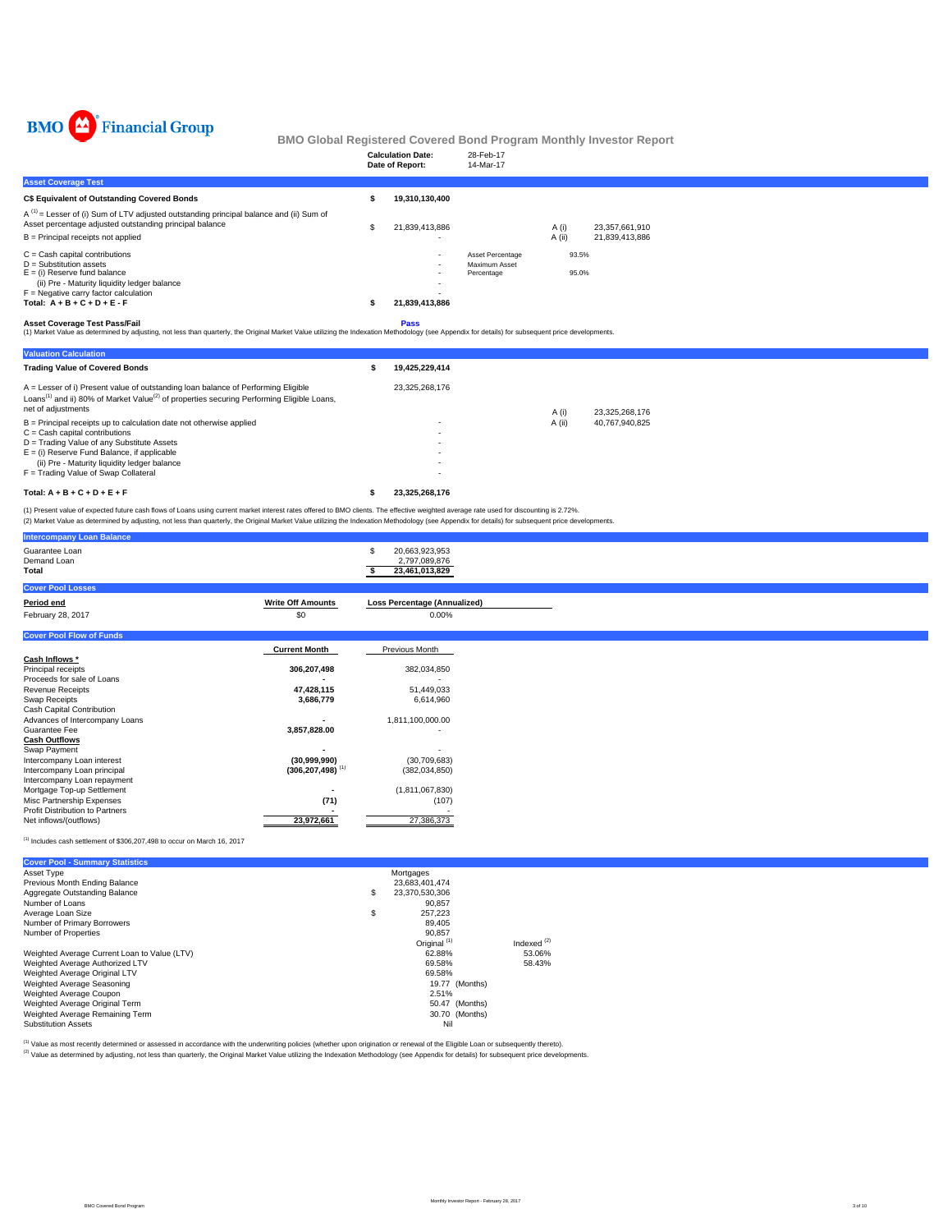

|                                                                                                                                                                                                                                            | <b>Calculation Date:</b><br>Date of Report:     | 28-Feb-17<br>14-Mar-17                          |                 |                                  |
|--------------------------------------------------------------------------------------------------------------------------------------------------------------------------------------------------------------------------------------------|-------------------------------------------------|-------------------------------------------------|-----------------|----------------------------------|
| <b>Asset Coverage Test</b>                                                                                                                                                                                                                 |                                                 |                                                 |                 |                                  |
| C\$ Equivalent of Outstanding Covered Bonds                                                                                                                                                                                                | 19,310,130,400                                  |                                                 |                 |                                  |
| $A^{(1)}$ = Lesser of (i) Sum of LTV adjusted outstanding principal balance and (ii) Sum of<br>Asset percentage adjusted outstanding principal balance<br>$B =$ Principal receipts not applied                                             | 21,839,413,886<br>۰                             |                                                 | A (i)<br>A (ii) | 23,357,661,910<br>21,839,413,886 |
| $C =$ Cash capital contributions<br>$D =$ Substitution assets<br>$E =$ (i) Reserve fund balance<br>(ii) Pre - Maturity liquidity ledger balance<br>$F =$ Negative carry factor calculation<br>Total: $A + B + C + D + E - F$               | $\overline{\phantom{a}}$<br>٠<br>21,839,413,886 | Asset Percentage<br>Maximum Asset<br>Percentage | 93.5%<br>95.0%  |                                  |
| <b>Asset Coverage Test Pass/Fail</b><br>(1) Market Value as determined by adjusting, not less than quarterly, the Original Market Value utilizing the Indexation Methodology (see Appendix for details) for subsequent price developments. | Pass                                            |                                                 |                 |                                  |
| <b>Valuation Calculation</b>                                                                                                                                                                                                               |                                                 |                                                 |                 |                                  |

| <b>Trading Value of Covered Bonds</b>                                                                                                                                                                                        | 19.425.229.414 |        |                |
|------------------------------------------------------------------------------------------------------------------------------------------------------------------------------------------------------------------------------|----------------|--------|----------------|
| A = Lesser of i) Present value of outstanding loan balance of Performing Eligible<br>Loans <sup>(1)</sup> and ii) 80% of Market Value <sup>(2)</sup> of properties securing Performing Eligible Loans.<br>net of adjustments | 23.325.268.176 | A (i)  | 23.325.268.176 |
| $B =$ Principal receipts up to calculation date not otherwise applied                                                                                                                                                        | ۰              | A (ii) | 40.767.940.825 |
| $C =$ Cash capital contributions                                                                                                                                                                                             |                |        |                |
| $D =$ Trading Value of any Substitute Assets                                                                                                                                                                                 | ۰              |        |                |
| $E =$ (i) Reserve Fund Balance, if applicable                                                                                                                                                                                | ۰              |        |                |
| (ii) Pre - Maturity liquidity ledger balance                                                                                                                                                                                 |                |        |                |
| F = Trading Value of Swap Collateral                                                                                                                                                                                         |                |        |                |
| Total: $A + B + C + D + E + F$                                                                                                                                                                                               | 23.325.268.176 |        |                |

(1) Present value of expected future cash flows of Loans using current market interest rates offered to BMO clients. The effective weighted average rate used for discounting is 2.72%.<br>(2) Market Value as determined by adju

| <b>Intercompany Loan Balance</b>                          |                                  |                                                   |
|-----------------------------------------------------------|----------------------------------|---------------------------------------------------|
| Guarantee Loan<br>Demand Loan<br>Total                    |                                  | 20,663,923,953<br>2,797,089,876<br>23,461,013,829 |
| <b>Cover Pool Losses</b>                                  |                                  |                                                   |
| Period end                                                | <b>Write Off Amounts</b>         | <b>Loss Percentage (Annualized)</b>               |
| February 28, 2017                                         | \$0                              | 0.00%                                             |
| <b>Cover Pool Flow of Funds</b>                           |                                  |                                                   |
|                                                           | <b>Current Month</b>             | Previous Month                                    |
| Cash Inflows *                                            |                                  |                                                   |
| Principal receipts                                        | 306,207,498                      | 382,034,850                                       |
| Proceeds for sale of Loans<br><b>Revenue Receipts</b>     | 47,428,115                       | ٠<br>51,449,033                                   |
| Swap Receipts                                             | 3,686,779                        | 6,614,960                                         |
| Cash Capital Contribution                                 |                                  |                                                   |
| Advances of Intercompany Loans                            |                                  | 1,811,100,000.00                                  |
| Guarantee Fee                                             | 3,857,828.00                     |                                                   |
| <b>Cash Outflows</b>                                      |                                  |                                                   |
| Swap Payment                                              |                                  |                                                   |
| Intercompany Loan interest                                | (30,999,990)                     | (30, 709, 683)                                    |
| Intercompany Loan principal                               | $(306, 207, 498)$ <sup>(1)</sup> | (382, 034, 850)                                   |
| Intercompany Loan repayment<br>Mortgage Top-up Settlement |                                  | (1,811,067,830)                                   |
| Misc Partnership Expenses                                 | (71)                             | (107)                                             |
| Profit Distribution to Partners                           |                                  |                                                   |
| Net inflows/(outflows)                                    | 23,972,661                       | 27,386,373                                        |
|                                                           |                                  |                                                   |

 $^{(1)}$  Includes cash settlement of \$306,207,498 to occur on March 16, 2017

| <b>Cover Pool - Summary Statistics</b>       |                         |                  |
|----------------------------------------------|-------------------------|------------------|
| Asset Type                                   | Mortgages               |                  |
| Previous Month Ending Balance                | 23.683.401.474          |                  |
| Aggregate Outstanding Balance                | \$<br>23.370.530.306    |                  |
| Number of Loans                              | 90.857                  |                  |
| Average Loan Size                            | \$<br>257.223           |                  |
| Number of Primary Borrowers                  | 89.405                  |                  |
| Number of Properties                         | 90.857                  |                  |
|                                              | Original <sup>(1)</sup> | Indexed $^{(2)}$ |
| Weighted Average Current Loan to Value (LTV) | 62.88%                  | 53.06%           |
| Weighted Average Authorized LTV              | 69.58%                  | 58.43%           |
| Weighted Average Original LTV                | 69.58%                  |                  |
| Weighted Average Seasoning                   | 19.77 (Months)          |                  |
| Weighted Average Coupon                      | 2.51%                   |                  |
| Weighted Average Original Term               | 50.47 (Months)          |                  |
| Weighted Average Remaining Term              | 30.70 (Months)          |                  |
| <b>Substitution Assets</b>                   | Nil                     |                  |

<sup>(1)</sup> Value as most recently determined or assessed in accordance with the underwriting policies (whether upon origination or renewal of the Eligible Loan or subsequently thereto).<br><sup>(2)</sup> Value as determined by adjusting, n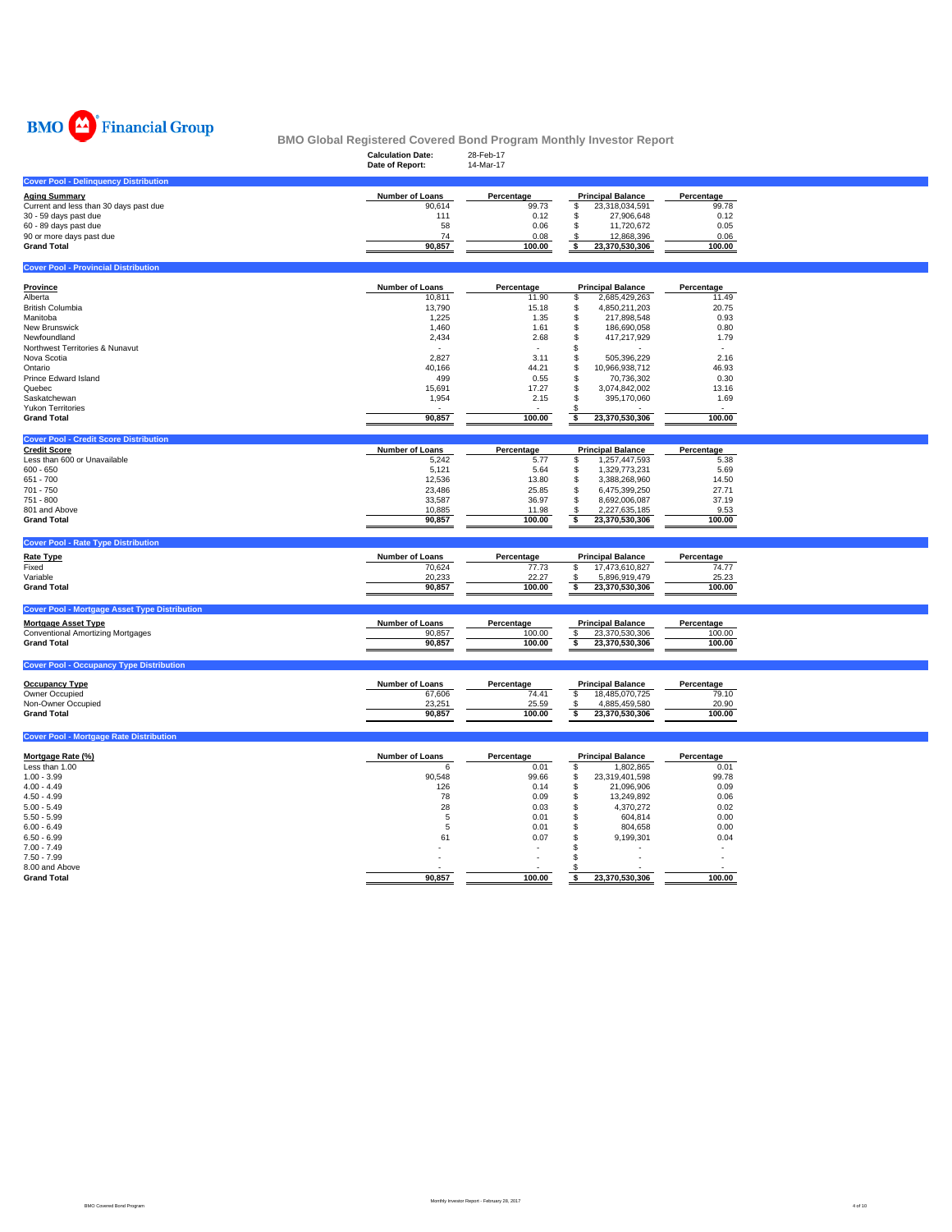

|                                                                | <b>BMO Global Registered Covered Bond Program Monthly Investor Report</b><br><b>Calculation Date:</b><br>Date of Report: | 28-Feb-17<br>14-Mar-17 |                                              |                          |  |
|----------------------------------------------------------------|--------------------------------------------------------------------------------------------------------------------------|------------------------|----------------------------------------------|--------------------------|--|
| <b>Cover Pool - Delinquency Distribution</b>                   |                                                                                                                          |                        |                                              |                          |  |
| <b>Aging Summary</b>                                           | Number of Loans                                                                                                          | Percentage             | <b>Principal Balance</b>                     | Percentage               |  |
| Current and less than 30 days past due                         | 90,614                                                                                                                   | 99.73                  | 23,318,034,591<br>\$                         | 99.78                    |  |
| 30 - 59 days past due                                          | 111                                                                                                                      | 0.12<br>0.06           | S<br>27,906,648<br>11,720,672<br>S           | 0.12<br>0.05             |  |
| 60 - 89 days past due<br>90 or more days past due              | 58<br>74                                                                                                                 | 0.08                   | 12,868,396                                   | 0.06                     |  |
| <b>Grand Total</b>                                             | 90,857                                                                                                                   | 100.00                 | \$<br>\$<br>23,370,530,306                   | 100.00                   |  |
| <b>Cover Pool - Provincial Distribution</b>                    |                                                                                                                          |                        |                                              |                          |  |
|                                                                |                                                                                                                          |                        |                                              |                          |  |
| Province<br>Alberta                                            | Number of Loans<br>10,811                                                                                                | Percentage<br>11.90    | <b>Principal Balance</b><br>2,685,429,263    | Percentage<br>11.49      |  |
| <b>British Columbia</b>                                        | 13,790                                                                                                                   | 15.18                  | \$<br>4,850,211,203<br>\$                    | 20.75                    |  |
| Manitoba                                                       | 1,225                                                                                                                    | 1.35                   | \$<br>217,898,548                            | 0.93                     |  |
| New Brunswick                                                  | 1,460                                                                                                                    | 1.61                   | S<br>186,690,058                             | 0.80                     |  |
| Newfoundland                                                   | 2,434                                                                                                                    | 2.68                   | 417,217,929<br>\$.                           | 1.79                     |  |
| Northwest Territories & Nunavut                                |                                                                                                                          |                        | S                                            | $\overline{\phantom{a}}$ |  |
| Nova Scotia                                                    | 2,827                                                                                                                    | 3.11                   | 505,396,229<br>S                             | 2.16                     |  |
| Ontario                                                        | 40,166                                                                                                                   | 44.21                  | 10,966,938,712<br>S                          | 46.93                    |  |
| Prince Edward Island                                           | 499                                                                                                                      | 0.55                   | 70,736,302<br>S                              | 0.30                     |  |
| Quebec                                                         | 15,691                                                                                                                   | 17.27                  | \$.<br>3,074,842,002                         | 13.16                    |  |
| Saskatchewan                                                   | 1,954                                                                                                                    | 2.15                   | S.<br>395,170,060                            | 1.69                     |  |
| <b>Yukon Territories</b>                                       |                                                                                                                          |                        | S                                            |                          |  |
| <b>Grand Total</b>                                             | 90,857                                                                                                                   | 100.00                 | 23,370,530,306<br>\$                         | 100.00                   |  |
| <b>Cover Pool - Credit Score Distribution</b>                  |                                                                                                                          |                        |                                              |                          |  |
| <b>Credit Score</b>                                            | Number of Loans                                                                                                          | Percentage             | <b>Principal Balance</b>                     | Percentage               |  |
| Less than 600 or Unavailable                                   | 5,242                                                                                                                    | 5.77                   | 1,257,447,593<br>\$                          | 5.38                     |  |
| $600 - 650$                                                    | 5,121<br>12,536                                                                                                          | 5.64                   | \$<br>1,329,773,231                          | 5.69                     |  |
| 651 - 700<br>701 - 750                                         | 23,486                                                                                                                   | 13.80<br>25.85         | \$<br>3,388,268,960<br>S<br>6,475,399,250    | 14.50<br>27.71           |  |
| 751 - 800                                                      | 33,587                                                                                                                   | 36.97                  | \$<br>8,692,006,087                          | 37.19                    |  |
| 801 and Above                                                  | 10,885                                                                                                                   | 11.98                  | 2,227,635,185<br>\$                          | 9.53                     |  |
| <b>Grand Total</b>                                             | 90,857                                                                                                                   | 100.00                 | \$<br>23,370,530,306                         | 100.00                   |  |
|                                                                |                                                                                                                          |                        |                                              |                          |  |
| <b>Cover Pool - Rate Type Distribution</b>                     |                                                                                                                          |                        |                                              |                          |  |
| <b>Rate Type</b>                                               | Number of Loans                                                                                                          | Percentage             | <b>Principal Balance</b>                     | Percentage               |  |
| Fixed                                                          | 70,624                                                                                                                   | 77.73                  | \$<br>17,473,610,827                         | 74.77                    |  |
| Variable                                                       | 20,233                                                                                                                   | 22.27                  | 5,896,919,479<br>\$                          | 25.23                    |  |
| <b>Grand Total</b>                                             | 90,857                                                                                                                   | 100.00                 | \$<br>23,370,530,306                         | 100.00                   |  |
| <b>Cover Pool - Mortgage Asset Type Distribution</b>           |                                                                                                                          |                        |                                              |                          |  |
| <b>Mortgage Asset Type</b>                                     | Number of Loans                                                                                                          | Percentage             | <b>Principal Balance</b>                     | Percentage               |  |
| <b>Conventional Amortizing Mortgages</b><br><b>Grand Total</b> | 90,857<br>90,857                                                                                                         | 100.00<br>100.00       | \$<br>23,370,530,306<br>23,370,530,306<br>\$ | 100.00<br>100.00         |  |
|                                                                |                                                                                                                          |                        |                                              |                          |  |
| <b>Cover Pool - Occupancy Type Distribution</b>                |                                                                                                                          |                        |                                              |                          |  |
| <b>Occupancy Type</b>                                          | Number of Loans                                                                                                          | Percentage             | <b>Principal Balance</b>                     | Percentage               |  |
| Owner Occupied                                                 | 67,606                                                                                                                   | 74.41                  | \$<br>18,485,070,725                         | 79.10                    |  |
| Non-Owner Occupied                                             | 23,251                                                                                                                   | 25.59                  | 4,885,459,580<br>$\mathbf{s}$                | 20.90                    |  |
| <b>Grand Total</b>                                             | 90,857                                                                                                                   | 100.00                 | $\overline{\bullet}$<br>23,370,530,306       | 100.00                   |  |
| <b>Cover Pool - Mortgage Rate Distribution</b>                 |                                                                                                                          |                        |                                              |                          |  |
| Mortgage Rate (%)                                              | Number of Loans                                                                                                          | Percentage             | <b>Principal Balance</b>                     | Percentage               |  |
| Less than 1.00                                                 | 6                                                                                                                        | 0.01                   | $\mathbb S$<br>1,802,865                     | 0.01                     |  |
| $1.00 - 3.99$                                                  | 90,548                                                                                                                   | 99.66                  | \$<br>23,319,401,598                         | 99.78                    |  |
| $4.00 - 4.49$                                                  | 126                                                                                                                      | 0.14                   | \$<br>21,096,906                             | 0.09                     |  |
| $4.50 - 4.99$                                                  | 78                                                                                                                       | 0.09                   | S<br>13,249,892                              | 0.06                     |  |
| $5.00 - 5.49$                                                  | 28                                                                                                                       | 0.03                   | 4,370,272<br>S                               | 0.02                     |  |
| $5.50 - 5.99$                                                  | 5                                                                                                                        | 0.01                   | 604,814<br>S                                 | 0.00                     |  |
| $6.00 - 6.49$                                                  | 5                                                                                                                        | 0.01                   | 804,658<br>S                                 | 0.00                     |  |
| $6.50 - 6.99$                                                  | 61                                                                                                                       | 0.07                   | 9,199,301<br>S                               | 0.04                     |  |
| $7.00 - 7.49$                                                  |                                                                                                                          |                        | \$                                           | $\sim$                   |  |
| $7.50 - 7.99$                                                  |                                                                                                                          |                        | $\mathbf{\hat{s}}$                           |                          |  |
| 8.00 and Above                                                 |                                                                                                                          |                        | - \$                                         |                          |  |
| <b>Grand Total</b>                                             | 90.857                                                                                                                   | 100.00                 | 23,370,530,306<br>s                          | 100.00                   |  |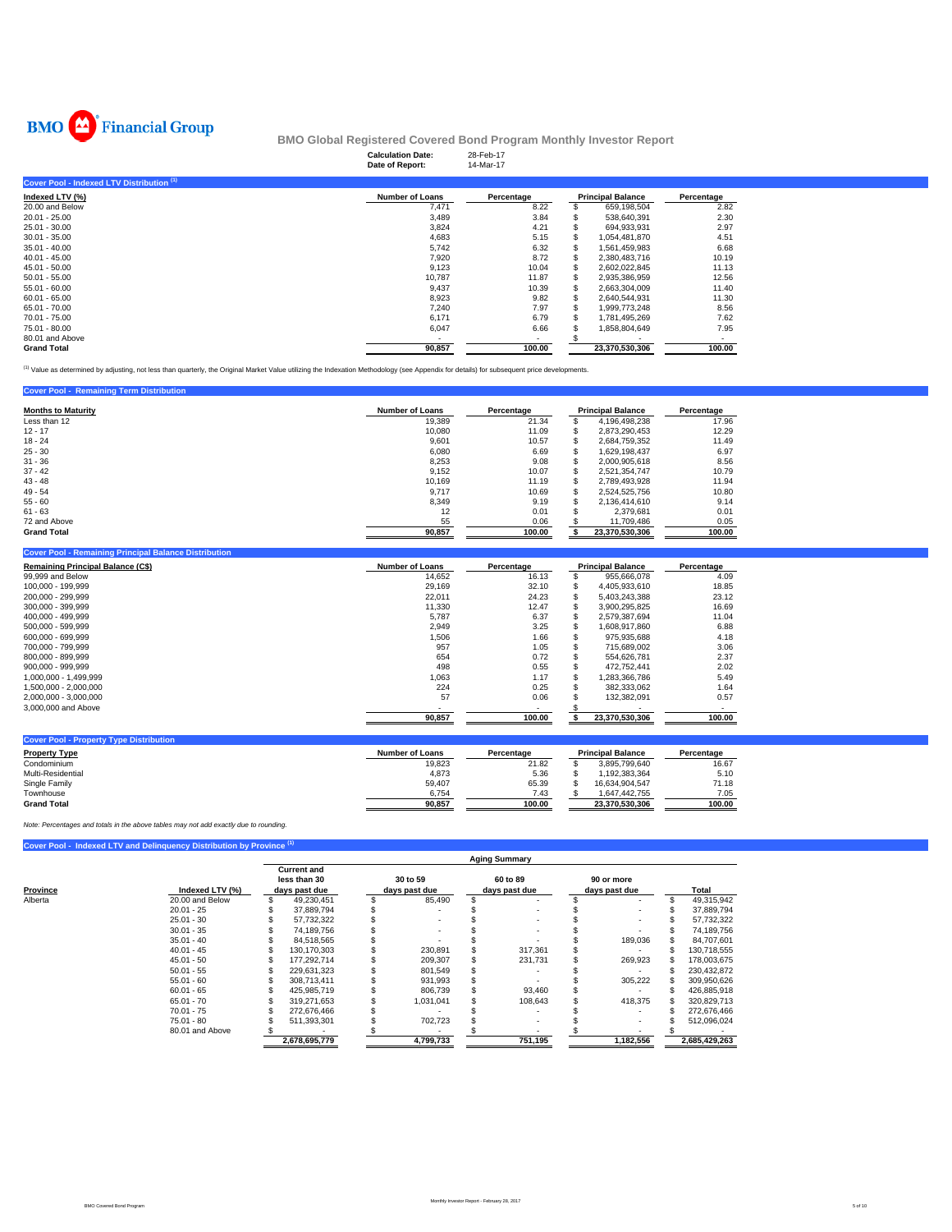

|                                           | <b>Calculation Date:</b><br>Date of Report: | 28-Feb-17<br>14-Mar-17 |                          |            |
|-------------------------------------------|---------------------------------------------|------------------------|--------------------------|------------|
| Cover Pool - Indexed LTV Distribution (1) |                                             |                        |                          |            |
| Indexed LTV (%)                           | <b>Number of Loans</b>                      | Percentage             | <b>Principal Balance</b> | Percentage |
| 20.00 and Below                           | 7,471                                       | 8.22                   | 659,198,504              | 2.82       |
| $20.01 - 25.00$                           | 3,489                                       | 3.84                   | 538,640,391              | 2.30       |
| $25.01 - 30.00$                           | 3,824                                       | 4.21                   | 694,933,931              | 2.97       |
| $30.01 - 35.00$                           | 4,683                                       | 5.15                   | 1,054,481,870            | 4.51       |
| $35.01 - 40.00$                           | 5,742                                       | 6.32                   | 1,561,459,983            | 6.68       |
| $40.01 - 45.00$                           | 7,920                                       | 8.72                   | 2.380.483.716            | 10.19      |
| 45.01 - 50.00                             | 9,123                                       | 10.04                  | 2,602,022,845            | 11.13      |
| $50.01 - 55.00$                           | 10,787                                      | 11.87                  | 2,935,386,959            | 12.56      |
| $55.01 - 60.00$                           | 9,437                                       | 10.39                  | 2,663,304,009            | 11.40      |
| $60.01 - 65.00$                           | 8,923                                       | 9.82                   | 2.640.544.931            | 11.30      |
| 65.01 - 70.00                             | 7,240                                       | 7.97                   | 1,999,773,248            | 8.56       |
| 70.01 - 75.00                             | 6,171                                       | 6.79                   | 1,781,495,269            | 7.62       |
| 75.01 - 80.00                             | 6,047                                       | 6.66                   | 1,858,804,649            | 7.95       |
| 80.01 and Above                           |                                             |                        |                          |            |
| <b>Grand Total</b>                        | 90,857                                      | 100.00                 | 23,370,530,306           | 100.00     |

(1) Value as determined by adjusting, not less than quarterly, the Original Market Value utilizing the Indexation Methodology (see Appendix for details) for subsequent price developments.

## **Cover Pool - Remaining Term Distribution**

| <b>Months to Maturity</b> | <b>Number of Loans</b> | Percentage |        | <b>Principal Balance</b> | Percentage |
|---------------------------|------------------------|------------|--------|--------------------------|------------|
|                           |                        |            |        |                          |            |
| Less than 12              | 19.389                 | 21.34      | эħ.    | 4.196.498.238            | 17.96      |
| $12 - 17$                 | 10,080                 | 11.09      | J.     | 2,873,290,453            | 12.29      |
| $18 - 24$                 | 9,601                  | 10.57      | \$.    | 2.684.759.352            | 11.49      |
| $25 - 30$                 | 6,080                  | 6.69       | \$.    | 1.629.198.437            | 6.97       |
| $31 - 36$                 | 8,253                  | 9.08       | \$.    | 2.000.905.618            | 8.56       |
| $37 - 42$                 | 9,152                  | 10.07      | S      | 2.521.354.747            | 10.79      |
| $43 - 48$                 | 10.169                 | 11.19      | \$.    | 2.789.493.928            | 11.94      |
| $49 - 54$                 | 9.717                  | 10.69      | ъ      | 2.524.525.756            | 10.80      |
| $55 - 60$                 | 8.349                  | 9.19       | ÷<br>ъ | 2.136.414.610            | 9.14       |
| $61 - 63$                 | 12                     | 0.01       | ъ      | 2.379.681                | 0.01       |
| 72 and Above              | 55                     | 0.06       |        | 11.709.486               | 0.05       |
| <b>Grand Total</b>        | 90,857                 | 100.00     |        | 23.370.530.306           | 100.00     |

| <b>Cover Pool - Remaining Principal Balance Distribution</b> |                        |            |   |                          |            |
|--------------------------------------------------------------|------------------------|------------|---|--------------------------|------------|
| <b>Remaining Principal Balance (C\$)</b>                     | <b>Number of Loans</b> | Percentage |   | <b>Principal Balance</b> | Percentage |
| 99,999 and Below                                             | 14,652                 | 16.13      |   | 955,666,078              | 4.09       |
| 100,000 - 199,999                                            | 29.169                 | 32.10      | S | 4.405.933.610            | 18.85      |
| 200.000 - 299.999                                            | 22,011                 | 24.23      |   | 5.403.243.388            | 23.12      |
| 300,000 - 399,999                                            | 11,330                 | 12.47      |   | 3.900.295.825            | 16.69      |
| 400.000 - 499.999                                            | 5,787                  | 6.37       | S | 2,579,387,694            | 11.04      |
| 500.000 - 599.999                                            | 2,949                  | 3.25       | ъ | 1.608.917.860            | 6.88       |
| 600.000 - 699.999                                            | 1,506                  | 1.66       |   | 975.935.688              | 4.18       |
| 700.000 - 799.999                                            | 957                    | 1.05       |   | 715.689.002              | 3.06       |
| 800,000 - 899,999                                            | 654                    | 0.72       |   | 554.626.781              | 2.37       |
| 900.000 - 999.999                                            | 498                    | 0.55       |   | 472.752.441              | 2.02       |
| 1.000.000 - 1.499.999                                        | 1,063                  | 1.17       |   | 1.283.366.786            | 5.49       |
| 1,500,000 - 2,000,000                                        | 224                    | 0.25       |   | 382,333,062              | 1.64       |
| 2,000,000 - 3,000,000                                        | 57                     | 0.06       |   | 132,382,091              | 0.57       |
| 3,000,000 and Above                                          |                        |            |   |                          |            |
|                                                              | 90,857                 | 100.00     |   | 23,370,530,306           | 100.00     |
|                                                              |                        |            |   |                          |            |

| <b>Cover Pool - Property Type Distribution</b> |                 |            |                          |            |
|------------------------------------------------|-----------------|------------|--------------------------|------------|
| <b>Property Type</b>                           | Number of Loans | Percentage | <b>Principal Balance</b> | Percentage |
| Condominium                                    | 19.823          | 21.82      | 3.895.799.640            | 16.67      |
| Multi-Residential                              | 4,873           | 5.36       | .192.383.364             | 5.10       |
| Single Family                                  | 59,407          | 65.39      | 16.634.904.547           | 71.18      |
| Townhouse                                      | 6.754           | 7.43       | 1.647.442.755            | 7.05       |
| <b>Grand Total</b>                             | 90.857          | 100.00     | 23.370.530.306           | 100.00     |

*Note: Percentages and totals in the above tables may not add exactly due to rounding.*

|          | Cover Pool - Indexed LTV and Delinguency Distribution by Province <sup>(1)</sup> |                                                     |    |                           |                           |                             |               |
|----------|----------------------------------------------------------------------------------|-----------------------------------------------------|----|---------------------------|---------------------------|-----------------------------|---------------|
|          |                                                                                  |                                                     |    |                           | <b>Aging Summary</b>      |                             |               |
| Province | Indexed LTV (%)                                                                  | <b>Current and</b><br>less than 30<br>days past due |    | 30 to 59<br>days past due | 60 to 89<br>days past due | 90 or more<br>days past due | Total         |
| Alberta  | 20.00 and Below                                                                  | 49,230,451                                          | \$ | 85,490                    |                           | ٠                           | 49,315,942    |
|          | $20.01 - 25$                                                                     | 37.889.794                                          |    |                           |                           |                             | 37,889,794    |
|          | $25.01 - 30$                                                                     | 57.732.322                                          |    |                           |                           |                             | 57,732,322    |
|          | $30.01 - 35$                                                                     | 74.189.756                                          |    |                           |                           |                             | 74.189.756    |
|          | $35.01 - 40$                                                                     | 84.518.565                                          |    |                           |                           | 189.036                     | 84.707.601    |
|          | $40.01 - 45$                                                                     | 130.170.303                                         |    | 230,891                   | 317.361                   |                             | 130.718.555   |
|          | $45.01 - 50$                                                                     | 177.292.714                                         |    | 209.307                   | 231.731                   | 269.923                     | 178,003,675   |
|          | $50.01 - 55$                                                                     | 229.631.323                                         |    | 801,549                   |                           |                             | 230,432,872   |
|          | $55.01 - 60$                                                                     | 308.713.411                                         |    | 931,993                   |                           | 305,222                     | 309,950,626   |
|          | $60.01 - 65$                                                                     | 425,985,719                                         |    | 806,739                   | 93,460                    |                             | 426,885,918   |
|          | $65.01 - 70$                                                                     | 319.271.653                                         |    | 1,031,041                 | 108.643                   | 418,375                     | 320,829,713   |
|          | $70.01 - 75$                                                                     | 272.676.466                                         |    |                           |                           | $\sim$                      | 272,676,466   |
|          | $75.01 - 80$                                                                     | 511.393.301                                         |    | 702,723                   |                           |                             | 512,096,024   |
|          | 80.01 and Above                                                                  |                                                     |    |                           |                           |                             |               |
|          |                                                                                  | 2,678,695,779                                       |    | 4,799,733                 | 751,195                   | 1,182,556                   | 2,685,429,263 |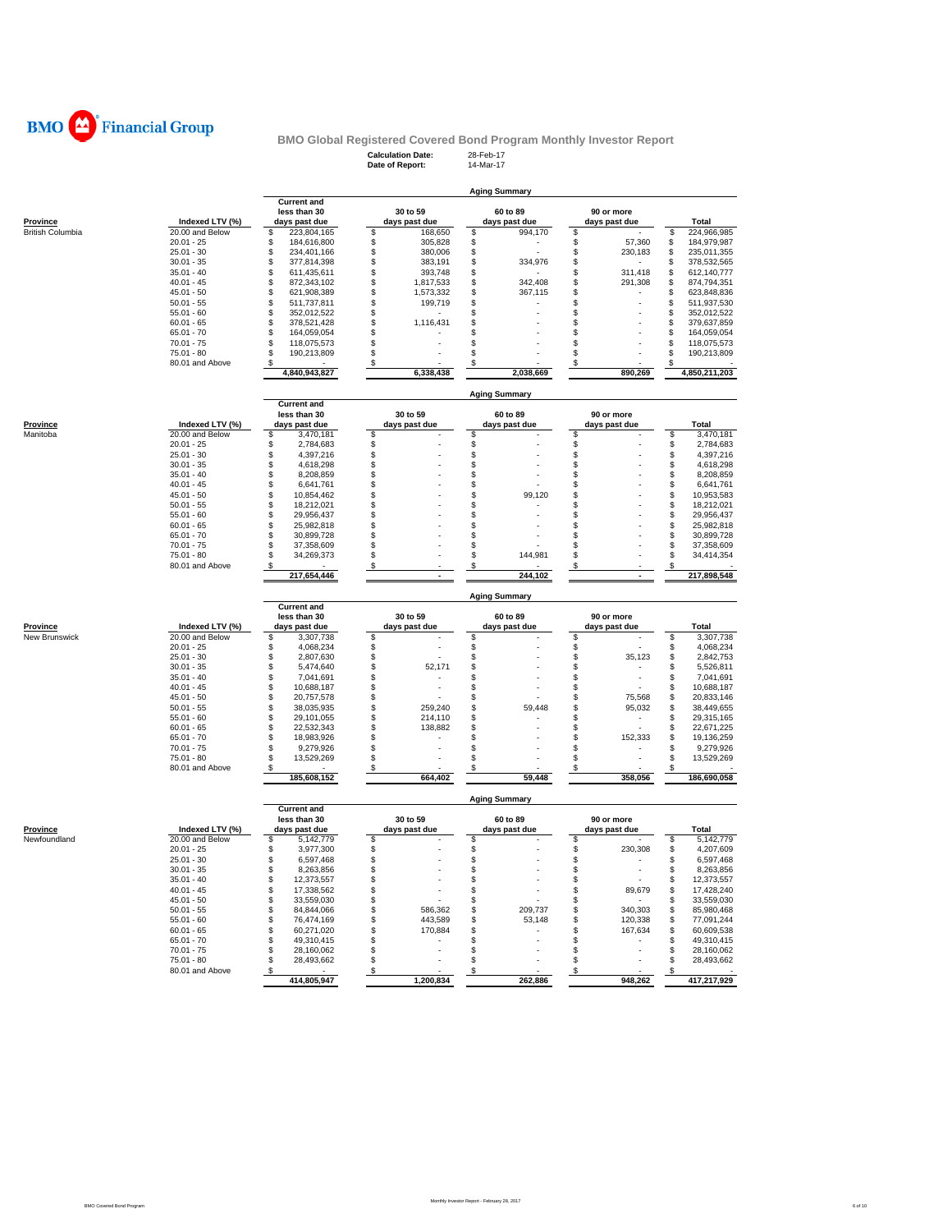

# **Calculation Date:** 28-Feb-17 **Date of Report:** 14-Mar-17 **BMO Global Registered Covered Bond Program Monthly Investor Report**

|                         |                              |                                    |          |               | <b>Aging Summary</b> |          |               |          |                          |
|-------------------------|------------------------------|------------------------------------|----------|---------------|----------------------|----------|---------------|----------|--------------------------|
|                         |                              | <b>Current and</b><br>less than 30 |          | 30 to 59      | 60 to 89             |          | 90 or more    |          |                          |
| Province                | Indexed LTV (%)              | days past due                      |          | days past due | days past due        |          | days past due |          | <b>Total</b>             |
| <b>British Columbia</b> | 20.00 and Below              | \$<br>223,804,165                  | \$       | 168,650       | \$<br>994,170        | \$       |               | \$       | 224,966,985              |
|                         | $20.01 - 25$                 | 184,616,800<br>S                   | \$       | 305,828       | \$                   | \$       | 57,360        | \$       | 184,979,987              |
|                         | $25.01 - 30$                 | \$<br>234,401,166                  | \$       | 380,006       | \$                   | \$       | 230,183       | \$       | 235,011,355              |
|                         | $30.01 - 35$                 | \$<br>377,814,398                  | \$       | 383,191       | \$<br>334,976        | \$       |               | \$       | 378,532,565              |
|                         | $35.01 - 40$                 | \$<br>611,435,611                  | \$       | 393,748       | \$                   | \$       | 311,418       | \$       | 612,140,777              |
|                         | $40.01 - 45$                 | \$<br>872,343,102                  | \$       | 1,817,533     | \$<br>342,408        | \$       | 291,308       | \$       | 874,794,351              |
|                         | $45.01 - 50$                 | \$<br>621,908,389                  | \$       | 1,573,332     | \$<br>367,115        | \$       |               | \$       | 623,848,836              |
|                         | $50.01 - 55$                 | \$<br>511,737,811                  | \$       | 199,719       | \$                   | \$       |               | \$       | 511,937,530              |
|                         | $55.01 - 60$                 | \$<br>352,012,522                  | \$       |               | \$                   | \$       |               | S        | 352,012,522              |
|                         | $60.01 - 65$                 | \$<br>378,521,428                  | \$       | 1,116,431     | \$                   | \$       |               | \$       | 379,637,859              |
|                         | $65.01 - 70$                 | \$<br>164,059,054                  | \$       |               | \$                   | \$.      |               | \$       | 164,059,054              |
|                         | $70.01 - 75$                 | \$<br>118,075,573                  | \$       |               | \$                   | \$       |               | \$       | 118,075,573              |
|                         | $75.01 - 80$                 | \$<br>190,213,809                  | \$       |               | \$                   | \$       |               | \$       | 190,213,809              |
|                         | 80.01 and Above              | \$                                 | \$       |               | \$                   | \$       |               | \$       |                          |
|                         |                              | 4,840,943,827                      |          | 6,338,438     | 2,038,669            |          | 890,269       |          | 4,850,211,203            |
|                         |                              |                                    |          |               | <b>Aging Summary</b> |          |               |          |                          |
|                         |                              | <b>Current and</b>                 |          |               |                      |          |               |          |                          |
|                         |                              | less than 30                       |          | 30 to 59      | 60 to 89             |          | 90 or more    |          |                          |
| Province                | Indexed LTV (%)              | days past due                      |          | days past due | days past due        | \$       | days past due |          | Total                    |
| Manitoba                | 20.00 and Below              | \$<br>3,470,181<br>\$              | \$       |               | \$                   |          |               | \$       | 3,470,181                |
|                         | $20.01 - 25$                 | 2,784,683<br>\$                    | \$       |               | \$<br>\$             | \$<br>\$ |               | \$<br>\$ | 2,784,683                |
|                         | $25.01 - 30$                 | 4,397,216<br>\$                    | \$<br>\$ |               | \$                   | \$       |               | \$       | 4,397,216                |
|                         | $30.01 - 35$                 | 4,618,298<br>\$                    |          |               |                      | \$       |               | \$       | 4,618,298                |
|                         | $35.01 - 40$                 | 8,208,859<br>\$                    | \$<br>\$ |               | \$<br>\$             | \$       |               | \$       | 8,208,859                |
|                         | $40.01 - 45$                 | 6,641,761<br>\$                    | Ś        |               | \$<br>99,120         | \$.      |               | \$       | 6,641,761                |
|                         | $45.01 - 50$<br>$50.01 - 55$ | 10,854,462<br>\$                   | \$       |               | \$                   | \$       |               | \$       | 10,953,583               |
|                         |                              | 18,212,021<br>\$                   | \$       |               | \$                   | S        |               |          | 18,212,021               |
|                         | $55.01 - 60$<br>$60.01 - 65$ | 29,956,437<br>\$<br>25,982,818     | \$       |               | \$                   | \$.      |               | \$<br>\$ | 29,956,437<br>25,982,818 |
|                         | $65.01 - 70$                 | \$                                 | \$       |               | \$                   | \$       |               | \$       |                          |
|                         | $70.01 - 75$                 | 30,899,728<br>S<br>37,358,609      | \$       |               | \$                   | £.       |               | \$       | 30,899,728               |
|                         | $75.01 - 80$                 | 34,269,373<br>S                    | \$       |               | \$<br>144,981        | \$       |               | \$       | 37,358,609<br>34,414,354 |
|                         | 80.01 and Above              | S                                  | \$       |               | \$                   | \$       |               | \$       |                          |
|                         |                              | 217,654,446                        |          |               | 244,102              |          | ×.            |          | 217,898,548              |
|                         |                              |                                    |          |               | <b>Aging Summary</b> |          |               |          |                          |
|                         |                              | <b>Current and</b><br>less than 30 |          | 30 to 59      | 60 to 89             |          | 90 or more    |          |                          |
| Province                | Indexed LTV (%)              | days past due                      |          | days past due | days past due        |          | days past due |          | Total                    |
| New Brunswick           | 20.00 and Below              | \$<br>3,307,738                    | \$       |               | \$                   | \$       |               | \$       | 3,307,738                |
|                         | $20.01 - 25$                 | S<br>4,068,234                     | \$       |               | \$                   | \$       |               | \$       | 4,068,234                |
|                         | $25.01 - 30$                 | \$<br>2,807,630                    | \$       |               | \$                   | \$       | 35,123        | \$       | 2,842,753                |
|                         | $30.01 - 35$                 | \$<br>5,474,640                    | \$       | 52,171        | \$                   | \$       |               | \$       | 5,526,811                |
|                         | $35.01 - 40$                 | \$<br>7,041,691                    | \$       |               | \$                   | \$       |               | \$       | 7,041,691                |
|                         | $40.01 - 45$                 | \$<br>10,688,187                   | \$       |               | \$                   | \$       |               | \$       | 10,688,187               |
|                         | $45.01 - 50$                 | \$<br>20,757,578                   | \$       |               | \$                   | \$       | 75,568        | \$       | 20,833,146               |
|                         | $50.01 - 55$                 | \$<br>38,035,935                   | \$       | 259,240       | \$<br>59,448         | \$       | 95,032        | \$       | 38,449,655               |
|                         | $55.01 - 60$                 | \$<br>29,101,055                   | \$       | 214,110       | \$                   | \$       | ٠             | S        | 29,315,165               |
|                         | $60.01 - 65$                 | \$<br>22,532,343                   | \$       | 138,882       | \$                   | \$       |               | \$       | 22,671,225               |
|                         | $65.01 - 70$                 | \$<br>18,983,926                   | \$       |               | \$                   | S        | 152,333       | \$       | 19,136,259               |
|                         | $70.01 - 75$                 | \$<br>9,279,926                    | \$       |               | \$                   | \$       |               | \$       | 9,279,926                |
|                         | 75.01 - 80                   | \$<br>13,529,269                   | \$       |               | \$                   | \$       |               | \$       | 13,529,269               |
|                         | 80.01 and Above              | \$                                 | \$       |               | \$                   | \$       |               | S        |                          |
|                         |                              | 185,608,152                        |          | 664,402       | 59,448               |          | 358,056       |          | 186,690,058              |
|                         |                              |                                    |          |               | <b>Aging Summary</b> |          |               |          |                          |
|                         |                              | <b>Current and</b>                 |          |               |                      |          |               |          |                          |
| <b>Drovingo</b>         | Indovad LTV (0/)             | less than 30                       |          | 30 to 59      | 60 to 89             |          | 90 or more    |          | Total                    |

| Province     | Indexed LTV (%) | less than 30<br>days past due | 30 to 59<br>days past due | 60 to 89<br>days past due | 90 or more<br>days past due | Total       |
|--------------|-----------------|-------------------------------|---------------------------|---------------------------|-----------------------------|-------------|
| Newfoundland | 20.00 and Below | 5,142,779                     |                           |                           |                             | 5,142,779   |
|              | $20.01 - 25$    | 3,977,300                     |                           |                           | 230,308                     | 4,207,609   |
|              | $25.01 - 30$    | 6.597.468                     |                           |                           |                             | 6.597.468   |
|              | $30.01 - 35$    | 8.263.856                     |                           |                           |                             | 8,263,856   |
|              | $35.01 - 40$    | 12.373.557                    |                           |                           |                             | 12,373,557  |
|              | $40.01 - 45$    | 17.338.562                    |                           | ٠                         | 89,679                      | 17,428,240  |
|              | $45.01 - 50$    | 33.559.030                    |                           |                           |                             | 33,559,030  |
|              | $50.01 - 55$    | 84.844.066                    | 586.362                   | 209,737                   | 340,303                     | 85,980,468  |
|              | $55.01 - 60$    | 76.474.169                    | 443,589                   | 53,148                    | 120,338                     | 77,091,244  |
|              | $60.01 - 65$    | 60.271.020                    | 170,884                   |                           | 167,634                     | 60,609,538  |
|              | $65.01 - 70$    | 49.310.415                    |                           |                           |                             | 49.310.415  |
|              | $70.01 - 75$    | 28.160.062                    |                           |                           |                             | 28,160,062  |
|              | $75.01 - 80$    | 28,493,662                    |                           |                           |                             | 28,493,662  |
|              | 80.01 and Above |                               |                           |                           |                             |             |
|              |                 | 414.805.947                   | 1,200,834                 | 262,886                   | 948,262                     | 417,217,929 |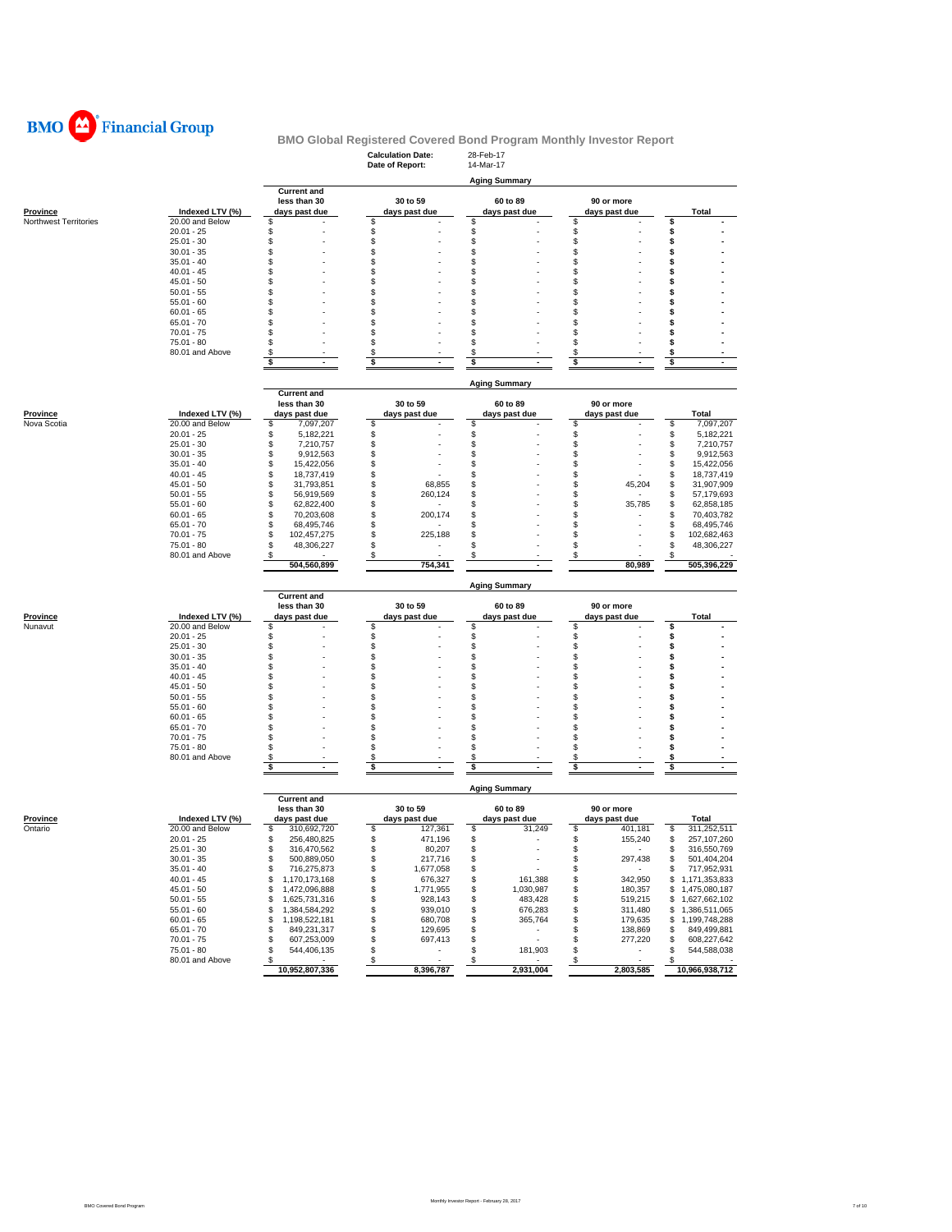

|                                   |                                    |                                      | <b>Calculation Date:</b><br>Date of Report: | 28-Feb-17<br>14-Mar-17         |                                |                                      |
|-----------------------------------|------------------------------------|--------------------------------------|---------------------------------------------|--------------------------------|--------------------------------|--------------------------------------|
|                                   |                                    |                                      |                                             | <b>Aging Summary</b>           |                                |                                      |
|                                   |                                    | <b>Current and</b>                   |                                             |                                |                                |                                      |
|                                   |                                    | less than 30                         | 30 to 59                                    | 60 to 89                       | 90 or more                     |                                      |
| Province<br>Northwest Territories | Indexed LTV (%)<br>20.00 and Below | days past due<br>\$                  | days past due<br>\$                         | days past due<br>\$            | days past due<br>\$            | Total<br>\$                          |
|                                   | $20.01 - 25$                       | \$                                   | \$                                          | \$                             | \$                             | \$                                   |
|                                   | $25.01 - 30$                       | \$                                   | \$                                          | \$                             | \$                             | \$                                   |
|                                   | $30.01 - 35$                       | \$                                   | S                                           | \$                             | \$                             | \$                                   |
|                                   | $35.01 - 40$                       | \$                                   | S                                           | \$                             | \$                             | s                                    |
|                                   | $40.01 - 45$                       | \$                                   | S<br>S                                      | \$<br>\$                       | \$<br>\$                       | \$                                   |
|                                   | $45.01 - 50$<br>$50.01 - 55$       | \$<br>\$                             | S                                           | \$                             | \$                             | \$<br>s                              |
|                                   | $55.01 - 60$                       | \$                                   | S                                           | \$                             | \$                             | s                                    |
|                                   | $60.01 - 65$                       | \$                                   | S                                           | \$                             | \$                             | \$                                   |
|                                   | $65.01 - 70$                       | S                                    | S                                           | \$                             | \$                             | s                                    |
|                                   | $70.01 - 75$                       | S                                    | S                                           | \$                             | \$                             | \$                                   |
|                                   | 75.01 - 80                         | \$                                   | S                                           | \$                             | \$                             | \$                                   |
|                                   | 80.01 and Above                    | \$                                   | \$                                          | \$                             | \$                             | \$                                   |
|                                   |                                    | \$<br>ä,                             | \$                                          | \$                             | \$                             | \$                                   |
|                                   |                                    |                                      |                                             | <b>Aging Summary</b>           |                                |                                      |
|                                   |                                    | <b>Current and</b>                   |                                             |                                |                                |                                      |
|                                   |                                    | less than 30                         | 30 to 59                                    | 60 to 89                       | 90 or more                     |                                      |
| <b>Province</b>                   | Indexed LTV (%)                    | days past due                        | days past due                               | days past due                  | days past due                  | Total                                |
| Nova Scotia                       | 20.00 and Below                    | \$<br>7,097,207                      | S                                           | \$                             | \$                             | \$<br>7,097,207                      |
|                                   | $20.01 - 25$                       | \$<br>5,182,221                      | \$                                          | \$                             | \$                             | \$<br>5,182,221                      |
|                                   | $25.01 - 30$                       | \$<br>7,210,757                      | \$                                          | \$                             | \$                             | \$<br>7,210,757                      |
|                                   | $30.01 - 35$                       | \$<br>9,912,563                      | S                                           | \$                             | \$                             | \$<br>9,912,563                      |
|                                   | $35.01 - 40$                       | \$<br>15,422,056                     | S<br>S                                      | \$                             | \$                             | \$<br>15,422,056                     |
|                                   | $40.01 - 45$<br>$45.01 - 50$       | \$<br>18,737,419                     |                                             | \$                             | \$                             | \$<br>18,737,419                     |
|                                   | $50.01 - 55$                       | \$<br>31,793,851<br>\$<br>56,919,569 | \$<br>68,855<br>S<br>260,124                | \$<br>\$                       | \$<br>45,204<br>\$             | \$<br>31,907,909<br>\$<br>57,179,693 |
|                                   | $55.01 - 60$                       | \$<br>62,822,400                     | S                                           | \$                             | \$<br>35,785                   | \$<br>62,858,185                     |
|                                   | $60.01 - 65$                       | \$<br>70,203,608                     | S.<br>200,174                               | \$                             | \$                             | \$<br>70,403,782                     |
|                                   | $65.01 - 70$                       | \$<br>68,495,746                     | S                                           | \$                             | \$                             | \$<br>68,495,746                     |
|                                   | $70.01 - 75$                       | \$<br>102,457,275                    | S<br>225,188                                | \$                             | \$                             | \$<br>102,682,463                    |
|                                   | $75.01 - 80$                       | \$<br>48,306,227                     | S                                           | \$                             | \$                             | \$<br>48,306,227                     |
|                                   | 80.01 and Above                    | \$                                   | \$                                          | \$                             | \$                             |                                      |
|                                   |                                    | 504,560,899                          | 754,341                                     |                                | 80,989                         | 505,396,229                          |
|                                   |                                    |                                      |                                             | <b>Aging Summary</b>           |                                |                                      |
|                                   |                                    | <b>Current and</b>                   |                                             |                                |                                |                                      |
|                                   |                                    | less than 30                         | 30 to 59                                    | 60 to 89                       | 90 or more                     |                                      |
| <u>Province</u><br>Nunavut        | Indexed LTV (%)<br>20.00 and Below | days past due<br>\$                  | days past due<br>\$                         | days past due<br>\$            | days past due<br>\$            | <b>Total</b><br>\$                   |
|                                   | $20.01 - 25$                       | \$                                   | \$                                          | \$                             | \$                             | \$                                   |
|                                   | $25.01 - 30$                       | \$                                   | \$                                          | \$                             | \$                             | \$                                   |
|                                   | $30.01 - 35$                       | \$                                   | S                                           | \$                             | \$                             | \$                                   |
|                                   | $35.01 - 40$                       | \$                                   | S                                           | \$                             | \$                             | \$                                   |
|                                   | $40.01 - 45$                       | \$                                   | S                                           | \$                             | \$                             | \$                                   |
|                                   | $45.01 - 50$                       | \$                                   | S                                           | \$                             | \$                             | \$                                   |
|                                   | $50.01 - 55$                       | \$                                   | S                                           | \$                             | \$                             | \$                                   |
|                                   | $55.01 - 60$                       | \$                                   | S                                           | \$                             | \$                             | \$                                   |
|                                   | $60.01 - 65$                       | \$                                   | S                                           | \$                             | \$                             | \$                                   |
|                                   | $65.01 - 70$<br>$70.01 - 75$       | \$<br>\$                             | S<br>S                                      | \$<br>\$                       | \$<br>\$                       | \$<br>s                              |
|                                   | $75.01 - 80$                       | \$                                   | S                                           | \$                             | \$                             | s                                    |
|                                   | 80.01 and Above                    | \$                                   | \$                                          | \$                             | \$                             | \$                                   |
|                                   |                                    | \$<br>$\sim$                         | \$<br>$\blacksquare$                        | \$<br>$\overline{\phantom{a}}$ | \$<br>$\sim$                   | \$<br>$\sim$                         |
|                                   |                                    |                                      |                                             |                                |                                |                                      |
|                                   |                                    | <b>Current and</b>                   |                                             | <b>Aging Summary</b>           |                                |                                      |
|                                   |                                    | less than 30                         | 30 to 59                                    | 60 to 89                       | 90 or more                     |                                      |
| <u>Province</u>                   | Indexed LTV (%)                    | days past due                        | days past due                               | days past due                  | days past due                  | Total                                |
| Ontario                           | 20.00 and Below                    | \$<br>310,692,720                    | \$<br>127,361                               | \$<br>31,249                   | \$<br>401,181                  | \$<br>311,252,511                    |
|                                   | $20.01 - 25$                       | 256,480,825<br>\$                    | \$<br>471,196                               | \$                             | \$<br>155,240                  | 257,107,260<br>\$                    |
|                                   | $25.01 - 30$                       | 316,470,562<br>\$                    | 80,207                                      | S                              |                                | 316,550,769<br>S                     |
|                                   | $30.01 - 35$                       | \$<br>500,889,050                    | \$<br>217,716                               | \$<br>$\overline{\phantom{a}}$ | \$<br>297,438                  | 501,404,204<br>\$                    |
|                                   | $35.01 - 40$                       | \$<br>716,275,873                    | \$<br>1,677,058                             | \$<br>$\sim$                   | \$<br>$\sim$ $-$               | 717,952,931<br>\$                    |
|                                   | $40.01 - 45$                       | \$<br>1,170,173,168                  | \$<br>676,327                               | \$<br>161,388                  | \$<br>342,950                  | \$1,171,353,833                      |
|                                   | $45.01 - 50$                       | \$<br>1,472,096,888                  | \$<br>1,771,955                             | \$<br>1,030,987                | \$<br>180,357                  | \$1,475,080,187                      |
|                                   | $50.01 - 55$                       | \$<br>1,625,731,316                  | \$<br>928,143                               | \$<br>483,428                  | 519,215<br>\$                  | 1,627,662,102<br>\$                  |
|                                   | $55.01 - 60$                       | \$<br>1,384,584,292                  | \$<br>939,010                               | \$<br>676,283                  | \$<br>311,480                  | 1,386,511,065<br>\$                  |
|                                   | $60.01 - 65$                       | \$<br>1,198,522,181<br>849,231,317   | \$<br>680,708                               | \$<br>365,764                  | \$<br>179,635                  | 1,199,748,288<br>\$<br>849,499,881   |
|                                   | $65.01 - 70$<br>$70.01 - 75$       | \$<br>\$<br>607,253,009              | \$<br>129,695<br>\$<br>697,413              | \$<br>$\sim$<br>\$<br>$\sim$   | \$<br>138,869<br>\$<br>277,220 | \$<br>\$<br>608,227,642              |
|                                   | 75.01 - 80                         | \$<br>544,406,135                    | \$<br>$\sim$                                | \$<br>181,903                  | \$<br>$\sim$                   | 544,588,038<br>\$                    |
|                                   | 80.01 and Above                    | \$                                   | $\boldsymbol{\mathsf{s}}$                   | $\boldsymbol{\mathsf{s}}$      | \$                             | \$                                   |
|                                   |                                    | 10,952,807,336                       | 8,396,787                                   | 2,931,004                      | 2,803,585                      | 10,966,938,712                       |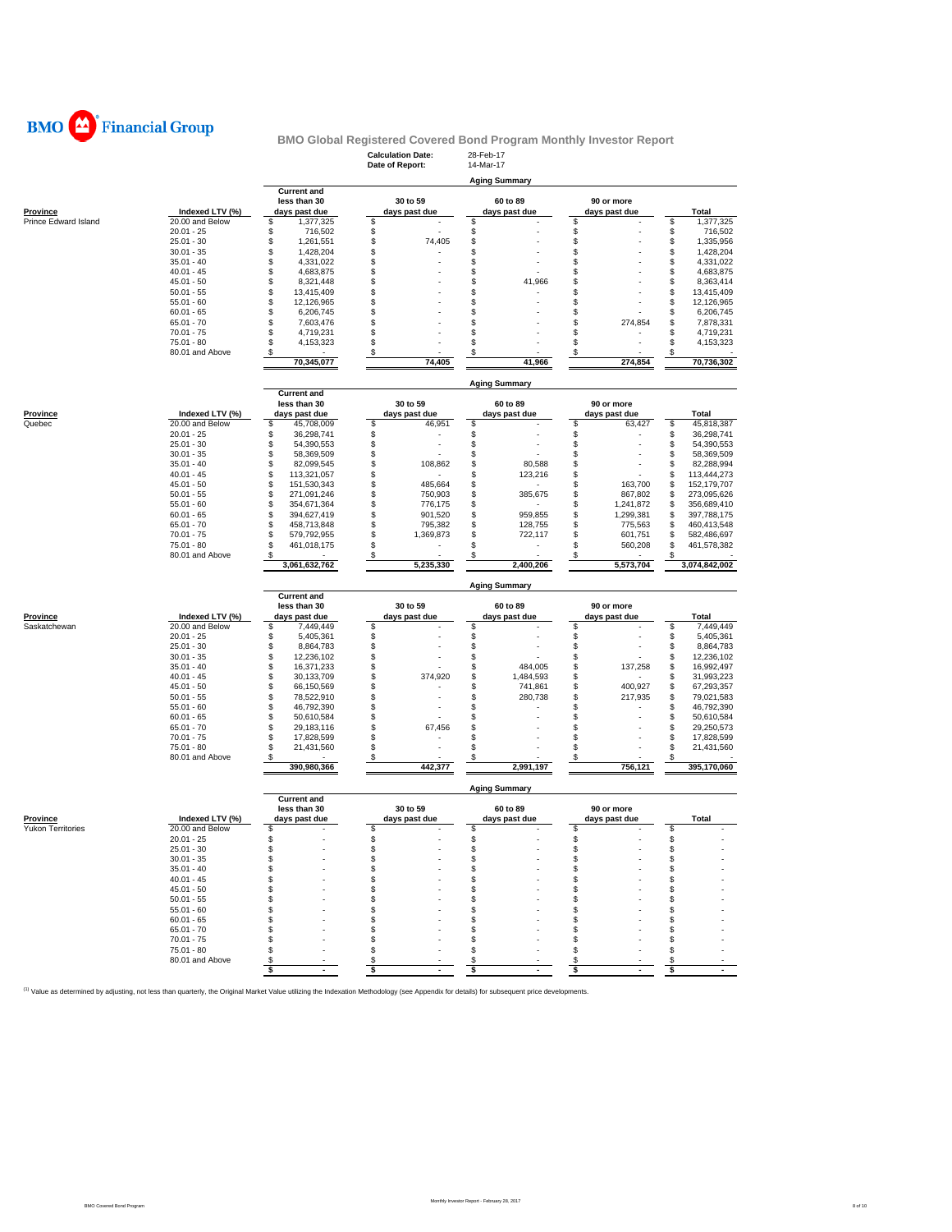

|                          |                                 |                                       | <b>Calculation Date:</b><br>Date of Report: | 28-Feb-17<br>14-Mar-17        |                     |                                       |
|--------------------------|---------------------------------|---------------------------------------|---------------------------------------------|-------------------------------|---------------------|---------------------------------------|
|                          |                                 |                                       |                                             |                               |                     |                                       |
|                          |                                 | <b>Current and</b>                    |                                             | <b>Aging Summary</b>          |                     |                                       |
|                          |                                 | less than 30                          | 30 to 59                                    | 60 to 89                      | 90 or more          |                                       |
| Province                 | Indexed LTV (%)                 | days past due                         | days past due                               | days past due                 | days past due       | Total                                 |
| Prince Edward Island     | 20.00 and Below<br>$20.01 - 25$ | \$<br>1,377,325                       | \$                                          | \$                            | \$                  | \$<br>1,377,325                       |
|                          | $25.01 - 30$                    | \$<br>716,502<br>\$<br>1,261,551      | \$<br>\$<br>74,405                          | \$<br>\$                      | \$<br>\$            | \$<br>716,502<br>\$<br>1,335,956      |
|                          | $30.01 - 35$                    | \$<br>1,428,204                       | \$                                          | \$                            | \$                  | \$<br>1,428,204                       |
|                          | $35.01 - 40$                    | 4,331,022<br>\$                       | \$                                          | \$                            | \$                  | \$<br>4,331,022                       |
|                          | $40.01 - 45$                    | 4,683,875<br>\$                       | \$                                          | \$                            | \$                  | \$<br>4,683,875                       |
|                          | $45.01 - 50$                    | \$<br>8,321,448                       | \$                                          | \$<br>41,966                  | \$                  | \$<br>8,363,414                       |
|                          | $50.01 - 55$                    | \$<br>13,415,409                      | \$                                          | \$                            | \$                  | \$<br>13,415,409                      |
|                          | $55.01 - 60$                    | \$<br>12,126,965                      | \$<br>\$                                    | \$                            | \$                  | \$<br>12,126,965                      |
|                          | $60.01 - 65$<br>$65.01 - 70$    | \$<br>6,206,745<br>\$<br>7,603,476    | \$                                          | \$<br>\$                      | \$<br>\$<br>274,854 | \$<br>6,206,745<br>\$<br>7,878,331    |
|                          | $70.01 - 75$                    | \$<br>4,719,231                       | \$                                          | \$                            | \$                  | \$<br>4,719,231                       |
|                          | $75.01 - 80$                    | \$<br>4,153,323                       | \$                                          | \$                            | \$                  | \$<br>4,153,323                       |
|                          | 80.01 and Above                 | S                                     | \$                                          | \$                            | \$                  | \$                                    |
|                          |                                 | 70,345,077                            | 74,405                                      | 41,966                        | 274,854             | 70,736,302                            |
|                          |                                 |                                       |                                             |                               |                     |                                       |
|                          |                                 | <b>Current and</b>                    |                                             | <b>Aging Summary</b>          |                     |                                       |
|                          |                                 | less than 30                          | 30 to 59                                    | 60 to 89                      | 90 or more          |                                       |
| <b>Province</b>          | Indexed LTV (%)                 | days past due                         | days past due                               | days past due                 | days past due       | Total                                 |
| Quebec                   | 20.00 and Below                 | \$<br>45,708,009                      | \$<br>46,951                                | \$                            | \$<br>63,427        | \$<br>45,818,387                      |
|                          | $20.01 - 25$                    | \$<br>36,298,741                      | \$                                          | \$                            | \$                  | \$<br>36,298,741                      |
|                          | $25.01 - 30$                    | 54,390,553<br>\$                      | \$                                          | \$                            | \$                  | \$<br>54,390,553                      |
|                          | $30.01 - 35$                    | \$<br>58,369,509                      | \$                                          | \$                            | \$                  | \$<br>58.369.509                      |
|                          | $35.01 - 40$<br>$40.01 - 45$    | \$<br>82,099,545<br>\$<br>113,321,057 | \$<br>108,862<br>\$                         | \$<br>80,588<br>\$<br>123,216 | \$<br>\$            | \$<br>82,288,994<br>\$<br>113,444,273 |
|                          | $45.01 - 50$                    | \$<br>151,530,343                     | \$<br>485,664                               | \$                            | \$<br>163,700       | \$<br>152,179,707                     |
|                          | $50.01 - 55$                    | \$<br>271,091,246                     | \$<br>750,903                               | \$<br>385,675                 | \$<br>867,802       | \$<br>273,095,626                     |
|                          | $55.01 - 60$                    | \$<br>354,671,364                     | \$<br>776,175                               | \$                            | \$<br>1,241,872     | \$<br>356,689,410                     |
|                          | $60.01 - 65$                    | \$<br>394,627,419                     | \$<br>901,520                               | \$<br>959,855                 | \$<br>1,299,381     | \$<br>397,788,175                     |
|                          | $65.01 - 70$                    | \$<br>458,713,848                     | \$<br>795,382                               | \$<br>128,755                 | \$<br>775,563       | \$<br>460,413,548                     |
|                          | $70.01 - 75$                    | \$<br>579,792,955                     | \$<br>1,369,873                             | \$<br>722,117                 | \$<br>601,751       | \$<br>582,486,697                     |
|                          | 75.01 - 80                      | \$<br>461,018,175                     | \$                                          | \$                            | \$<br>560,208       | \$<br>461,578,382<br>S                |
|                          | 80.01 and Above                 | S<br>3,061,632,762                    | \$<br>5,235,330                             | \$<br>2,400,206               | \$<br>5,573,704     | 3,074,842,002                         |
|                          |                                 |                                       |                                             |                               |                     |                                       |
|                          |                                 | <b>Current and</b>                    |                                             | <b>Aging Summary</b>          |                     |                                       |
|                          |                                 | less than 30                          | 30 to 59                                    | 60 to 89                      | 90 or more          |                                       |
| <b>Province</b>          | Indexed LTV (%)                 | days past due                         | days past due                               | days past due                 | days past due       | Total                                 |
| Saskatchewan             | 20.00 and Below                 | \$<br>7,449,449                       | \$                                          | \$                            | \$                  | \$<br>7,449,449                       |
|                          | $20.01 - 25$                    | \$<br>5,405,361                       | \$                                          | \$                            | \$                  | \$<br>5,405,361                       |
|                          | $25.01 - 30$<br>$30.01 - 35$    | \$<br>8,864,783<br>\$<br>12,236,102   | \$<br>\$                                    | \$<br>\$                      | \$<br>\$            | \$<br>8,864,783<br>\$<br>12,236,102   |
|                          | $35.01 - 40$                    | \$<br>16,371,233                      | \$                                          | \$<br>484,005                 | \$<br>137,258       | \$<br>16,992,497                      |
|                          | $40.01 - 45$                    | \$<br>30,133,709                      | \$<br>374,920                               | \$<br>1,484,593               | \$                  | \$<br>31,993,223                      |
|                          | $45.01 - 50$                    | \$<br>66,150,569                      | \$<br>÷                                     | \$<br>741,861                 | \$<br>400,927       | \$<br>67,293,357                      |
|                          | $50.01 - 55$                    | \$<br>78,522,910                      | \$                                          | \$<br>280,738                 | \$<br>217,935       | \$<br>79,021,583                      |
|                          | $55.01 - 60$                    | \$<br>46,792,390                      | \$                                          | \$                            | \$                  | \$<br>46,792,390                      |
|                          | $60.01 - 65$                    | \$<br>50,610,584                      | \$                                          | \$                            | \$                  | \$<br>50,610,584                      |
|                          | $65.01 - 70$<br>$70.01 - 75$    | \$<br>29,183,116<br>\$<br>17,828,599  | \$<br>67,456<br>\$                          | \$<br>\$                      | \$<br>\$            | \$<br>29,250,573<br>\$<br>17,828,599  |
|                          | $75.01 - 80$                    | \$<br>21,431,560                      | \$                                          | \$                            | \$                  | \$<br>21,431,560                      |
|                          | 80.01 and Above                 | \$                                    | \$                                          | \$                            | S                   | \$                                    |
|                          |                                 | 390,980,366                           | 442,377                                     | 2,991,197                     | 756,121             | 395,170,060                           |
|                          |                                 |                                       |                                             | <b>Aging Summary</b>          |                     |                                       |
|                          |                                 | <b>Current and</b>                    |                                             |                               |                     |                                       |
|                          |                                 | less than 30                          | 30 to 59                                    | 60 to 89                      | 90 or more          |                                       |
| Province                 | Indexed LTV (%)                 | days past due                         | days past due                               | days past due                 | days past due       | <b>Total</b>                          |
| <b>Yukon Territories</b> | 20.00 and Below                 | \$                                    | \$                                          | \$                            | \$                  | \$                                    |
|                          | $20.01 - 25$                    | \$<br>\$                              | \$<br>\$.                                   | \$<br>£.                      | \$<br>£.            | \$<br>\$                              |
|                          | $25.01 - 30$<br>$30.01 - 35$    | \$                                    | \$                                          | \$                            | \$                  | \$                                    |
|                          | $35.01 - 40$                    | \$<br>$\overline{\phantom{a}}$        | \$<br>٠                                     | \$                            | \$                  | \$                                    |
|                          | $40.01 - 45$                    | \$                                    | \$                                          | \$                            | \$                  | \$                                    |
|                          | $45.01 - 50$                    | \$                                    | \$                                          | \$                            | \$                  | \$                                    |
|                          | $50.01 - 55$                    | \$                                    | \$                                          | \$                            | \$                  | \$                                    |
|                          | $55.01 - 60$                    | S                                     | \$                                          | \$                            | \$                  | \$                                    |
|                          | $60.01 - 65$                    | S                                     | \$                                          | \$                            | \$                  | \$                                    |
|                          | $65.01 - 70$                    | S                                     | \$                                          | \$                            | \$                  | \$                                    |
|                          | $70.01 - 75$                    | S                                     | \$                                          | \$                            | \$                  | \$                                    |
|                          |                                 |                                       |                                             |                               |                     |                                       |
|                          | $75.01 - 80$                    | S                                     | \$                                          | \$                            | \$                  | \$                                    |
|                          | 80.01 and Above                 | S<br>\$<br>$\blacksquare$             | \$<br>\$<br>$\blacksquare$                  | \$<br>\$<br>$\blacksquare$    | \$<br>\$            | \$<br>\$<br>$\blacksquare$            |

<sup>(1)</sup> Value as determined by adjusting, not less than quarterly, the Original Market Value utilizing the Indexation Methodology (see Appendix for details) for subsequent price developments.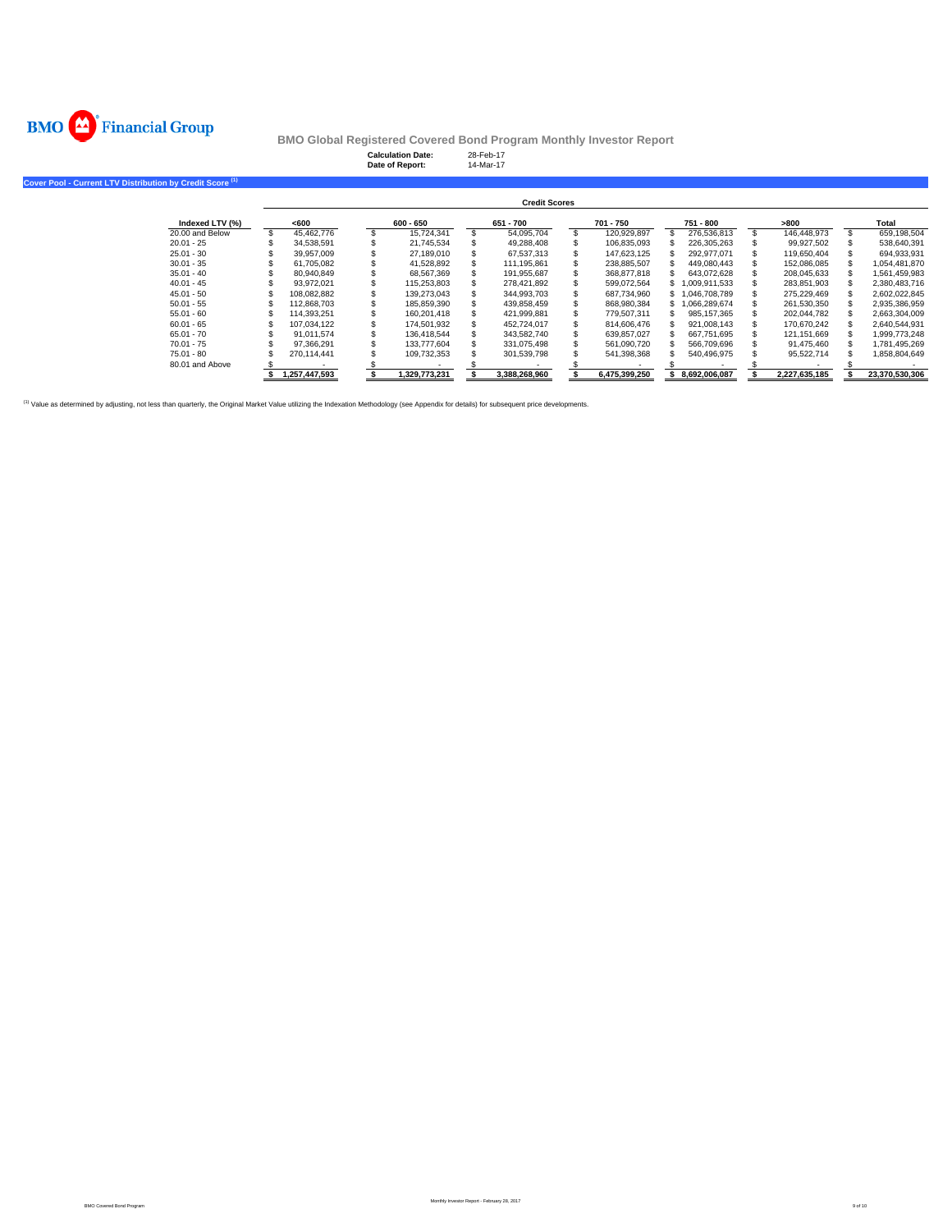

**Cover Pool -**

**BMO Global Registered Covered Bond Program Monthly Investor Report**

|                                                     |                 |                      | <b>Calculation Date:</b><br>Date of Report: |           |               | 28-Feb-17<br>14-Mar-17 |               |           |               |           |                  |      |               |       |                |
|-----------------------------------------------------|-----------------|----------------------|---------------------------------------------|-----------|---------------|------------------------|---------------|-----------|---------------|-----------|------------------|------|---------------|-------|----------------|
| <b>Current LTV Distribution by Credit Score (1)</b> |                 |                      |                                             |           |               |                        |               |           |               |           |                  |      |               |       |                |
|                                                     |                 | <b>Credit Scores</b> |                                             |           |               |                        |               |           |               |           |                  |      |               |       |                |
|                                                     | Indexed LTV (%) |                      | <600                                        | 600 - 650 |               | 651 - 700              |               | 701 - 750 |               | 751 - 800 |                  | >800 |               | Total |                |
|                                                     | 20.00 and Below |                      | 45,462,776                                  |           | 15.724.341    |                        | 54,095,704    |           | 120.929.897   |           | 276.536.813      |      | 146.448.973   |       | 659,198,504    |
|                                                     | $20.01 - 25$    |                      | 34,538,591                                  |           | 21,745,534    |                        | 49,288,408    |           | 106,835,093   |           | 226,305,263      |      | 99,927,502    |       | 538,640,391    |
|                                                     | $25.01 - 30$    |                      | 39,957,009                                  |           | 27,189,010    |                        | 67,537,313    |           | 147,623,125   |           | 292.977.071      |      | 119,650,404   |       | 694,933,931    |
|                                                     | $30.01 - 35$    |                      | 61,705,082                                  |           | 41,528,892    |                        | 111,195,861   |           | 238,885,507   |           | 449,080,443      |      | 152,086,085   |       | 1,054,481,870  |
|                                                     | $35.01 - 40$    |                      | 80,940,849                                  |           | 68,567,369    |                        | 191,955,687   |           | 368,877,818   |           | 643,072,628      |      | 208,045,633   |       | 1,561,459,983  |
|                                                     | $40.01 - 45$    |                      | 93,972,021                                  |           | 115,253,803   |                        | 278,421,892   |           | 599,072,564   |           | \$1,009,911,533  |      | 283,851,903   |       | 2,380,483,716  |
|                                                     | $45.01 - 50$    |                      | 108,082,882                                 |           | 139,273,043   |                        | 344,993,703   |           | 687,734,960   |           | \$1,046,708,789  |      | 275,229,469   |       | 2,602,022,845  |
|                                                     | $50.01 - 55$    |                      | 112.868.703                                 |           | 185.859.390   |                        | 439.858.459   |           | 868.980.384   |           | 1,066,289,674    |      | 261,530,350   |       | 2,935,386,959  |
|                                                     | $55.01 - 60$    |                      | 114.393.251                                 |           | 160.201.418   |                        | 421,999,881   |           | 779.507.311   |           | 985.157.365      |      | 202,044,782   |       | 2,663,304,009  |
|                                                     | $60.01 - 65$    |                      | 107,034,122                                 |           | 174,501,932   |                        | 452,724,017   |           | 814,606,476   |           | 921,008,143      |      | 170.670.242   |       | 2,640,544,931  |
|                                                     | $65.01 - 70$    |                      | 91.011.574                                  |           | 136.418.544   |                        | 343,582,740   |           | 639.857.027   |           | 667.751.695      |      | 121.151.669   |       | 1,999,773,248  |
|                                                     | $70.01 - 75$    |                      | 97.366.291                                  |           | 133,777,604   |                        | 331,075,498   |           | 561,090,720   |           | 566,709,696      |      | 91,475,460    |       | 1,781,495,269  |
|                                                     | 75.01 - 80      |                      | 270,114,441                                 |           | 109,732,353   |                        | 301,539,798   |           | 541,398,368   |           | 540,496,975      |      | 95,522,714    |       | 1,858,804,649  |
|                                                     | 80.01 and Above |                      |                                             |           |               |                        |               |           |               |           |                  |      |               |       |                |
|                                                     |                 |                      | 1,257,447,593                               |           | 1,329,773,231 |                        | 3,388,268,960 |           | 6,475,399,250 |           | \$ 8,692,006,087 |      | 2,227,635,185 |       | 23,370,530,306 |

(1) Value as determined by adjusting, not less than quarterly, the Original Market Value utilizing the Indexation Methodology (see Appendix for details) for subsequent price developments.